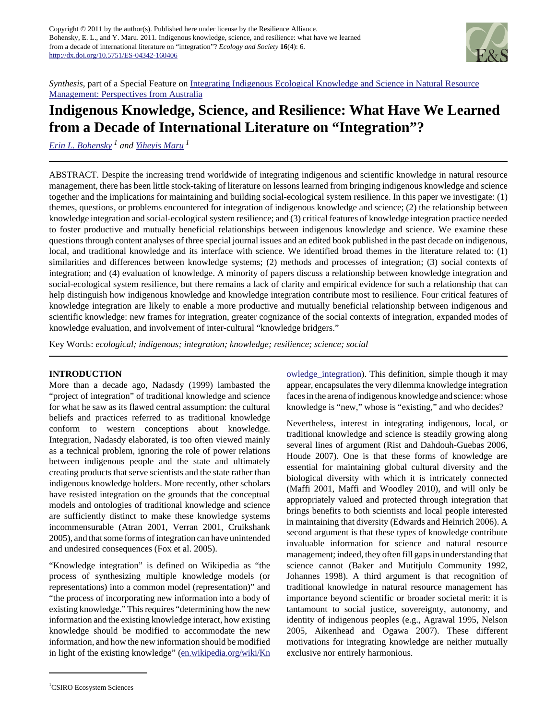

*Synthesis*, part of a Special Feature on [Inte](http://www.ecologyandsociety.org/viewissue.php?sf=50)grating Indigenous Ecological Knowledge and Science in Natural Resource Management: Perspectives from Australia

# **Indigenous Knowledge, Science, and Resilience: What Have We Learned from a Decade of International Literature on "Integration"?**

*[Erin L. Bohensky](mailto:erin.bohensky@csiro.au) 1 and [Yiheyis Maru](mailto:yiheyis.maru@csiro.au)<sup>1</sup>*

ABSTRACT. Despite the increasing trend worldwide of integrating indigenous and scientific knowledge in natural resource management, there has been little stock-taking of literature on lessons learned from bringing indigenous knowledge and science together and the implications for maintaining and building social-ecological system resilience. In this paper we investigate: (1) themes, questions, or problems encountered for integration of indigenous knowledge and science; (2) the relationship between knowledge integration and social-ecological system resilience; and (3) critical features of knowledge integration practice needed to foster productive and mutually beneficial relationships between indigenous knowledge and science. We examine these questions through content analyses of three special journal issues and an edited book published in the past decade on indigenous, local, and traditional knowledge and its interface with science. We identified broad themes in the literature related to: (1) similarities and differences between knowledge systems; (2) methods and processes of integration; (3) social contexts of integration; and (4) evaluation of knowledge. A minority of papers discuss a relationship between knowledge integration and social-ecological system resilience, but there remains a lack of clarity and empirical evidence for such a relationship that can help distinguish how indigenous knowledge and knowledge integration contribute most to resilience. Four critical features of knowledge integration are likely to enable a more productive and mutually beneficial relationship between indigenous and scientific knowledge: new frames for integration, greater cognizance of the social contexts of integration, expanded modes of knowledge evaluation, and involvement of inter-cultural "knowledge bridgers."

Key Words: *ecological; indigenous; integration; knowledge; resilience; science; social*

### **INTRODUCTION**

More than a decade ago, Nadasdy (1999) lambasted the "project of integration" of traditional knowledge and science for what he saw as its flawed central assumption: the cultural beliefs and practices referred to as traditional knowledge conform to western conceptions about knowledge. Integration, Nadasdy elaborated, is too often viewed mainly as a technical problem, ignoring the role of power relations between indigenous people and the state and ultimately creating products that serve scientists and the state rather than indigenous knowledge holders. More recently, other scholars have resisted integration on the grounds that the conceptual models and ontologies of traditional knowledge and science are sufficiently distinct to make these knowledge systems incommensurable (Atran 2001, Verran 2001, Cruikshank 2005), and that some forms of integration can have unintended and undesired consequences (Fox et al. 2005).

"Knowledge integration" is defined on Wikipedia as "the process of synthesizing multiple knowledge models (or representations) into a common model (representation)" and "the process of incorporating new information into a body of existing knowledge." This requires "determining how the new information and the existing knowledge interact, how existing knowledge should be modified to accommodate the new information, and how the new information should be modified in light of the existing knowledge" ([en.wikipedia.org/wiki/Kn](http://en.wikipedia.org/wiki/Knowledge_integration) owledge\_integration). This definition, simple though it may appear, encapsulates the very dilemma knowledge integration faces in the arena of indigenous knowledge and science: whose knowledge is "new," whose is "existing," and who decides?

Nevertheless, interest in integrating indigenous, local, or traditional knowledge and science is steadily growing along several lines of argument (Rist and Dahdouh-Guebas 2006, Houde 2007). One is that these forms of knowledge are essential for maintaining global cultural diversity and the biological diversity with which it is intricately connected (Maffi 2001, Maffi and Woodley 2010), and will only be appropriately valued and protected through integration that brings benefits to both scientists and local people interested in maintaining that diversity (Edwards and Heinrich 2006). A second argument is that these types of knowledge contribute invaluable information for science and natural resource management; indeed, they often fill gaps in understanding that science cannot (Baker and Mutitjulu Community 1992, Johannes 1998). A third argument is that recognition of traditional knowledge in natural resource management has importance beyond scientific or broader societal merit: it is tantamount to social justice, sovereignty, autonomy, and identity of indigenous peoples (e.g., Agrawal 1995, Nelson 2005, Aikenhead and Ogawa 2007). These different motivations for integrating knowledge are neither mutually exclusive nor entirely harmonious.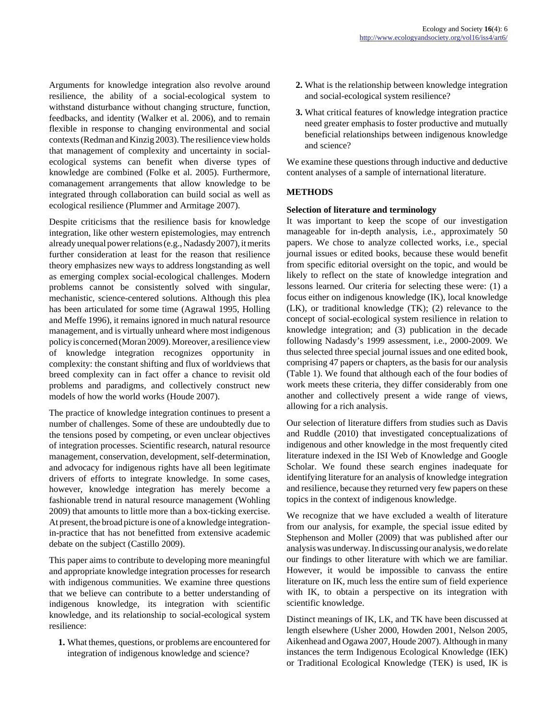Arguments for knowledge integration also revolve around resilience, the ability of a social-ecological system to withstand disturbance without changing structure, function, feedbacks, and identity (Walker et al. 2006), and to remain flexible in response to changing environmental and social contexts (Redman and Kinzig 2003). The resilience view holds that management of complexity and uncertainty in socialecological systems can benefit when diverse types of knowledge are combined (Folke et al. 2005). Furthermore, comanagement arrangements that allow knowledge to be integrated through collaboration can build social as well as ecological resilience (Plummer and Armitage 2007).

Despite criticisms that the resilience basis for knowledge integration, like other western epistemologies, may entrench already unequal power relations (e.g., Nadasdy 2007), it merits further consideration at least for the reason that resilience theory emphasizes new ways to address longstanding as well as emerging complex social-ecological challenges. Modern problems cannot be consistently solved with singular, mechanistic, science-centered solutions. Although this plea has been articulated for some time (Agrawal 1995, Holling and Meffe 1996), it remains ignored in much natural resource management, and is virtually unheard where most indigenous policy is concerned (Moran 2009). Moreover, a resilience view of knowledge integration recognizes opportunity in complexity: the constant shifting and flux of worldviews that breed complexity can in fact offer a chance to revisit old problems and paradigms, and collectively construct new models of how the world works (Houde 2007).

The practice of knowledge integration continues to present a number of challenges. Some of these are undoubtedly due to the tensions posed by competing, or even unclear objectives of integration processes. Scientific research, natural resource management, conservation, development, self-determination, and advocacy for indigenous rights have all been legitimate drivers of efforts to integrate knowledge. In some cases, however, knowledge integration has merely become a fashionable trend in natural resource management (Wohling 2009) that amounts to little more than a box-ticking exercise. At present, the broad picture is one of a knowledge integrationin-practice that has not benefitted from extensive academic debate on the subject (Castillo 2009).

This paper aims to contribute to developing more meaningful and appropriate knowledge integration processes for research with indigenous communities. We examine three questions that we believe can contribute to a better understanding of indigenous knowledge, its integration with scientific knowledge, and its relationship to social-ecological system resilience:

**1.** What themes, questions, or problems are encountered for integration of indigenous knowledge and science?

- **2.** What is the relationship between knowledge integration and social-ecological system resilience?
- **3.** What critical features of knowledge integration practice need greater emphasis to foster productive and mutually beneficial relationships between indigenous knowledge and science?

We examine these questions through inductive and deductive content analyses of a sample of international literature.

### **METHODS**

#### **Selection of literature and terminology**

It was important to keep the scope of our investigation manageable for in-depth analysis, i.e., approximately 50 papers. We chose to analyze collected works, i.e., special journal issues or edited books, because these would benefit from specific editorial oversight on the topic, and would be likely to reflect on the state of knowledge integration and lessons learned. Our criteria for selecting these were: (1) a focus either on indigenous knowledge (IK), local knowledge (LK), or traditional knowledge (TK); (2) relevance to the concept of social-ecological system resilience in relation to knowledge integration; and (3) publication in the decade following Nadasdy's 1999 assessment, i.e., 2000-2009. We thus selected three special journal issues and one edited book, comprising 47 papers or chapters, as the basis for our analysis (Table 1). We found that although each of the four bodies of work meets these criteria, they differ considerably from one another and collectively present a wide range of views, allowing for a rich analysis.

Our selection of literature differs from studies such as Davis and Ruddle (2010) that investigated conceptualizations of indigenous and other knowledge in the most frequently cited literature indexed in the ISI Web of Knowledge and Google Scholar. We found these search engines inadequate for identifying literature for an analysis of knowledge integration and resilience, because they returned very few papers on these topics in the context of indigenous knowledge.

We recognize that we have excluded a wealth of literature from our analysis, for example, the special issue edited by Stephenson and Moller (2009) that was published after our analysis was underway. In discussing our analysis, we do relate our findings to other literature with which we are familiar. However, it would be impossible to canvass the entire literature on IK, much less the entire sum of field experience with IK, to obtain a perspective on its integration with scientific knowledge.

Distinct meanings of IK, LK, and TK have been discussed at length elsewhere (Usher 2000, Howden 2001, Nelson 2005, Aikenhead and Ogawa 2007, Houde 2007). Although in many instances the term Indigenous Ecological Knowledge (IEK) or Traditional Ecological Knowledge (TEK) is used, IK is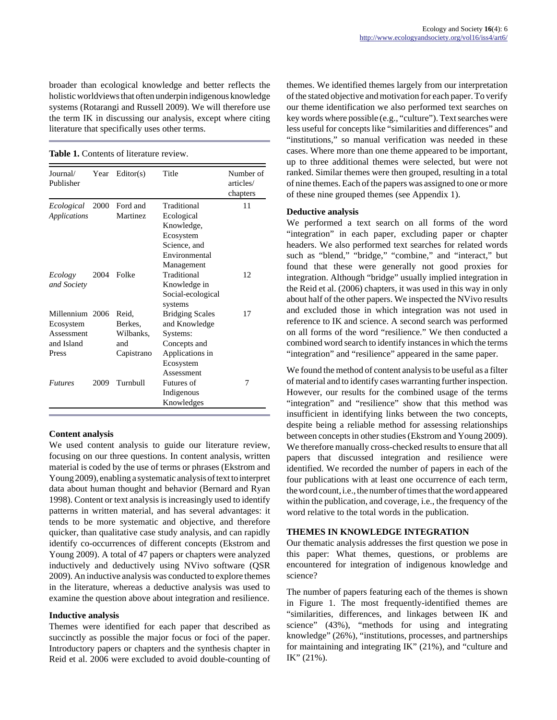broader than ecological knowledge and better reflects the holistic worldviews that often underpin indigenous knowledge systems (Rotarangi and Russell 2009). We will therefore use the term IK in discussing our analysis, except where citing literature that specifically uses other terms.

**Table 1.** Contents of literature review.

| Journal/<br>Publisher             | Year | Editor(s)            | Title                        | Number of<br>articles/<br>chapters |
|-----------------------------------|------|----------------------|------------------------------|------------------------------------|
| Ecological<br><b>Applications</b> | 2000 | Ford and<br>Martinez | Traditional<br>Ecological    | 11                                 |
|                                   |      |                      | Knowledge,                   |                                    |
|                                   |      |                      | Ecosystem                    |                                    |
|                                   |      |                      | Science, and                 |                                    |
|                                   |      |                      | Environmental                |                                    |
|                                   |      |                      | Management                   |                                    |
| Ecology                           | 2004 | Folke                | Traditional                  | 12                                 |
| and Society                       |      |                      | Knowledge in                 |                                    |
|                                   |      |                      | Social-ecological<br>systems |                                    |
| Millennium 2006                   |      | Reid,                | <b>Bridging Scales</b>       | 17                                 |
| Ecosystem                         |      | Berkes.              | and Knowledge                |                                    |
| Assessment                        |      | Wilbanks,            | Systems:                     |                                    |
| and Island                        |      | and                  | Concepts and                 |                                    |
| Press                             |      | Capistrano           | Applications in              |                                    |
|                                   |      |                      | Ecosystem                    |                                    |
|                                   |      |                      | Assessment                   |                                    |
| <b>Futures</b>                    | 2009 | Turnbull             | Futures of                   | 7                                  |
|                                   |      |                      | Indigenous                   |                                    |
|                                   |      |                      | Knowledges                   |                                    |

#### **Content analysis**

We used content analysis to guide our literature review, focusing on our three questions. In content analysis, written material is coded by the use of terms or phrases (Ekstrom and Young 2009), enabling a systematic analysis of text to interpret data about human thought and behavior (Bernard and Ryan 1998). Content or text analysis is increasingly used to identify patterns in written material, and has several advantages: it tends to be more systematic and objective, and therefore quicker, than qualitative case study analysis, and can rapidly identify co-occurrences of different concepts (Ekstrom and Young 2009). A total of 47 papers or chapters were analyzed inductively and deductively using NVivo software (QSR 2009). An inductive analysis was conducted to explore themes in the literature, whereas a deductive analysis was used to examine the question above about integration and resilience.

#### **Inductive analysis**

Themes were identified for each paper that described as succinctly as possible the major focus or foci of the paper. Introductory papers or chapters and the synthesis chapter in Reid et al. 2006 were excluded to avoid double-counting of themes. We identified themes largely from our interpretation of the stated objective and motivation for each paper. To verify our theme identification we also performed text searches on key words where possible (e.g., "culture"). Text searches were less useful for concepts like "similarities and differences" and "institutions," so manual verification was needed in these cases. Where more than one theme appeared to be important, up to three additional themes were selected, but were not ranked. Similar themes were then grouped, resulting in a total of nine themes. Each of the papers was assigned to one or more of these nine grouped themes (see Appendix 1).

#### **Deductive analysis**

We performed a text search on all forms of the word "integration" in each paper, excluding paper or chapter headers. We also performed text searches for related words such as "blend," "bridge," "combine," and "interact," but found that these were generally not good proxies for integration. Although "bridge" usually implied integration in the Reid et al. (2006) chapters, it was used in this way in only about half of the other papers. We inspected the NVivo results and excluded those in which integration was not used in reference to IK and science. A second search was performed on all forms of the word "resilience." We then conducted a combined word search to identify instances in which the terms "integration" and "resilience" appeared in the same paper.

We found the method of content analysis to be useful as a filter of material and to identify cases warranting further inspection. However, our results for the combined usage of the terms "integration" and "resilience" show that this method was insufficient in identifying links between the two concepts, despite being a reliable method for assessing relationships between concepts in other studies (Ekstrom and Young 2009). We therefore manually cross-checked results to ensure that all papers that discussed integration and resilience were identified. We recorded the number of papers in each of the four publications with at least one occurrence of each term, the word count, i.e., the number of times that the word appeared within the publication, and coverage, i.e., the frequency of the word relative to the total words in the publication.

#### **THEMES IN KNOWLEDGE INTEGRATION**

Our thematic analysis addresses the first question we pose in this paper: What themes, questions, or problems are encountered for integration of indigenous knowledge and science?

The number of papers featuring each of the themes is shown in Figure 1. The most frequently-identified themes are "similarities, differences, and linkages between IK and science" (43%), "methods for using and integrating knowledge" (26%), "institutions, processes, and partnerships for maintaining and integrating IK" (21%), and "culture and IK" (21%).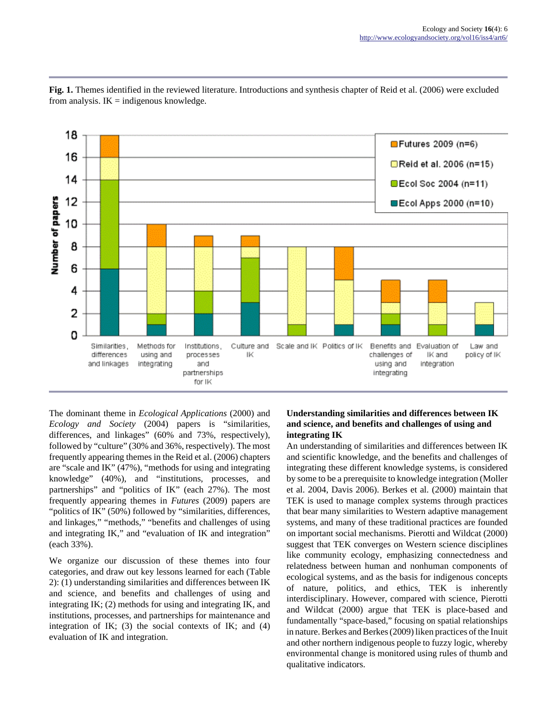

**Fig. 1.** Themes identified in the reviewed literature. Introductions and synthesis chapter of Reid et al. (2006) were excluded from analysis.  $IK =$  indigenous knowledge.

The dominant theme in *Ecological Applications* (2000) and *Ecology and Society* (2004) papers is "similarities, differences, and linkages" (60% and 73%, respectively), followed by "culture" (30% and 36%, respectively). The most frequently appearing themes in the Reid et al. (2006) chapters are "scale and IK" (47%), "methods for using and integrating knowledge" (40%), and "institutions, processes, and partnerships" and "politics of IK" (each 27%). The most frequently appearing themes in *Futures* (2009) papers are "politics of IK" (50%) followed by "similarities, differences, and linkages," "methods," "benefits and challenges of using and integrating IK," and "evaluation of IK and integration" (each 33%).

We organize our discussion of these themes into four categories, and draw out key lessons learned for each (Table 2): (1) understanding similarities and differences between IK and science, and benefits and challenges of using and integrating IK; (2) methods for using and integrating IK, and institutions, processes, and partnerships for maintenance and integration of IK; (3) the social contexts of IK; and (4) evaluation of IK and integration.

### **Understanding similarities and differences between IK and science, and benefits and challenges of using and integrating IK**

An understanding of similarities and differences between IK and scientific knowledge, and the benefits and challenges of integrating these different knowledge systems, is considered by some to be a prerequisite to knowledge integration (Moller et al. 2004, Davis 2006). Berkes et al. (2000) maintain that TEK is used to manage complex systems through practices that bear many similarities to Western adaptive management systems, and many of these traditional practices are founded on important social mechanisms. Pierotti and Wildcat (2000) suggest that TEK converges on Western science disciplines like community ecology, emphasizing connectedness and relatedness between human and nonhuman components of ecological systems, and as the basis for indigenous concepts of nature, politics, and ethics, TEK is inherently interdisciplinary. However, compared with science, Pierotti and Wildcat (2000) argue that TEK is place-based and fundamentally "space-based," focusing on spatial relationships in nature. Berkes and Berkes (2009) liken practices of the Inuit and other northern indigenous people to fuzzy logic, whereby environmental change is monitored using rules of thumb and qualitative indicators.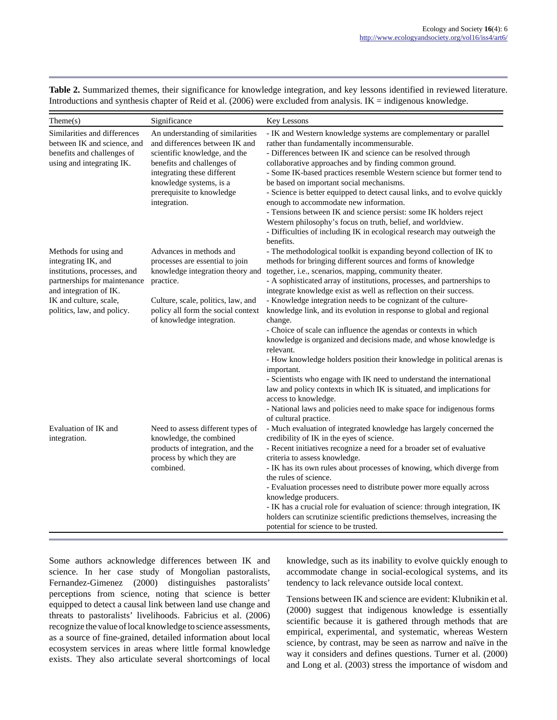| Table 2. Summarized themes, their significance for knowledge integration, and key lessons identified in reviewed literature. |  |  |  |  |
|------------------------------------------------------------------------------------------------------------------------------|--|--|--|--|
| Introductions and synthesis chapter of Reid et al. $(2006)$ were excluded from analysis. IK = indigenous knowledge.          |  |  |  |  |

| Then (s)                                                                                                                                                                                       | Significance                                                                                                                                                                                                                             | Key Lessons                                                                                                                                                                                                                                                                                                                                                                                                                                                                                                                                                                                                                                                                                                                                                                                                                                                                                                                                                                                         |
|------------------------------------------------------------------------------------------------------------------------------------------------------------------------------------------------|------------------------------------------------------------------------------------------------------------------------------------------------------------------------------------------------------------------------------------------|-----------------------------------------------------------------------------------------------------------------------------------------------------------------------------------------------------------------------------------------------------------------------------------------------------------------------------------------------------------------------------------------------------------------------------------------------------------------------------------------------------------------------------------------------------------------------------------------------------------------------------------------------------------------------------------------------------------------------------------------------------------------------------------------------------------------------------------------------------------------------------------------------------------------------------------------------------------------------------------------------------|
| Similarities and differences<br>between IK and science, and<br>benefits and challenges of<br>using and integrating IK.                                                                         | An understanding of similarities<br>and differences between IK and<br>scientific knowledge, and the<br>benefits and challenges of<br>integrating these different<br>knowledge systems, is a<br>prerequisite to knowledge<br>integration. | - IK and Western knowledge systems are complementary or parallel<br>rather than fundamentally incommensurable.<br>- Differences between IK and science can be resolved through<br>collaborative approaches and by finding common ground.<br>- Some IK-based practices resemble Western science but former tend to<br>be based on important social mechanisms.<br>- Science is better equipped to detect causal links, and to evolve quickly<br>enough to accommodate new information.<br>- Tensions between IK and science persist: some IK holders reject<br>Western philosophy's focus on truth, belief, and worldview.<br>- Difficulties of including IK in ecological research may outweigh the<br>benefits.                                                                                                                                                                                                                                                                                    |
| Methods for using and<br>integrating IK, and<br>institutions, processes, and<br>partnerships for maintenance<br>and integration of IK.<br>IK and culture, scale,<br>politics, law, and policy. | Advances in methods and<br>processes are essential to join<br>knowledge integration theory and<br>practice.<br>Culture, scale, politics, law, and<br>policy all form the social context<br>of knowledge integration.                     | - The methodological toolkit is expanding beyond collection of IK to<br>methods for bringing different sources and forms of knowledge<br>together, i.e., scenarios, mapping, community theater.<br>- A sophisticated array of institutions, processes, and partnerships to<br>integrate knowledge exist as well as reflection on their success.<br>- Knowledge integration needs to be cognizant of the culture-<br>knowledge link, and its evolution in response to global and regional<br>change.<br>- Choice of scale can influence the agendas or contexts in which<br>knowledge is organized and decisions made, and whose knowledge is<br>relevant.<br>- How knowledge holders position their knowledge in political arenas is<br>important.<br>- Scientists who engage with IK need to understand the international<br>law and policy contexts in which IK is situated, and implications for<br>access to knowledge.<br>- National laws and policies need to make space for indigenous forms |
| Evaluation of IK and<br>integration.                                                                                                                                                           | Need to assess different types of<br>knowledge, the combined<br>products of integration, and the<br>process by which they are<br>combined.                                                                                               | of cultural practice.<br>- Much evaluation of integrated knowledge has largely concerned the<br>credibility of IK in the eyes of science.<br>- Recent initiatives recognize a need for a broader set of evaluative<br>criteria to assess knowledge.<br>- IK has its own rules about processes of knowing, which diverge from<br>the rules of science.<br>- Evaluation processes need to distribute power more equally across<br>knowledge producers.<br>- IK has a crucial role for evaluation of science: through integration, IK<br>holders can scrutinize scientific predictions themselves, increasing the<br>potential for science to be trusted.                                                                                                                                                                                                                                                                                                                                              |

Some authors acknowledge differences between IK and science. In her case study of Mongolian pastoralists, Fernandez-Gimenez (2000) distinguishes pastoralists' perceptions from science, noting that science is better equipped to detect a causal link between land use change and threats to pastoralists' livelihoods. Fabricius et al. (2006) recognize the value of local knowledge to science assessments, as a source of fine-grained, detailed information about local ecosystem services in areas where little formal knowledge exists. They also articulate several shortcomings of local

knowledge, such as its inability to evolve quickly enough to accommodate change in social-ecological systems, and its tendency to lack relevance outside local context.

Tensions between IK and science are evident: Klubnikin et al. (2000) suggest that indigenous knowledge is essentially scientific because it is gathered through methods that are empirical, experimental, and systematic, whereas Western science, by contrast, may be seen as narrow and naïve in the way it considers and defines questions. Turner et al. (2000) and Long et al. (2003) stress the importance of wisdom and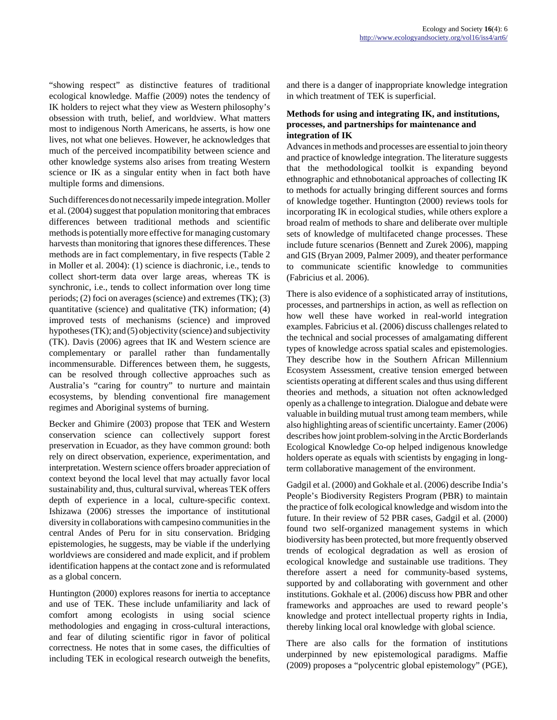"showing respect" as distinctive features of traditional ecological knowledge. Maffie (2009) notes the tendency of IK holders to reject what they view as Western philosophy's obsession with truth, belief, and worldview. What matters most to indigenous North Americans, he asserts, is how one lives, not what one believes. However, he acknowledges that much of the perceived incompatibility between science and other knowledge systems also arises from treating Western science or IK as a singular entity when in fact both have multiple forms and dimensions.

Such differences do not necessarily impede integration. Moller et al. (2004) suggest that population monitoring that embraces differences between traditional methods and scientific methods is potentially more effective for managing customary harvests than monitoring that ignores these differences. These methods are in fact complementary, in five respects (Table 2 in Moller et al. 2004): (1) science is diachronic, i.e., tends to collect short-term data over large areas, whereas TK is synchronic, i.e., tends to collect information over long time periods; (2) foci on averages (science) and extremes (TK); (3) quantitative (science) and qualitative (TK) information; (4) improved tests of mechanisms (science) and improved hypotheses (TK); and (5) objectivity (science) and subjectivity (TK). Davis (2006) agrees that IK and Western science are complementary or parallel rather than fundamentally incommensurable. Differences between them, he suggests, can be resolved through collective approaches such as Australia's "caring for country" to nurture and maintain ecosystems, by blending conventional fire management regimes and Aboriginal systems of burning.

Becker and Ghimire (2003) propose that TEK and Western conservation science can collectively support forest preservation in Ecuador, as they have common ground: both rely on direct observation, experience, experimentation, and interpretation. Western science offers broader appreciation of context beyond the local level that may actually favor local sustainability and, thus, cultural survival, whereas TEK offers depth of experience in a local, culture-specific context. Ishizawa (2006) stresses the importance of institutional diversity in collaborations with campesino communities in the central Andes of Peru for in situ conservation. Bridging epistemologies, he suggests, may be viable if the underlying worldviews are considered and made explicit, and if problem identification happens at the contact zone and is reformulated as a global concern.

Huntington (2000) explores reasons for inertia to acceptance and use of TEK. These include unfamiliarity and lack of comfort among ecologists in using social science methodologies and engaging in cross-cultural interactions, and fear of diluting scientific rigor in favor of political correctness. He notes that in some cases, the difficulties of including TEK in ecological research outweigh the benefits,

and there is a danger of inappropriate knowledge integration in which treatment of TEK is superficial.

### **Methods for using and integrating IK, and institutions, processes, and partnerships for maintenance and integration of IK**

Advances in methods and processes are essential to join theory and practice of knowledge integration. The literature suggests that the methodological toolkit is expanding beyond ethnographic and ethnobotanical approaches of collecting IK to methods for actually bringing different sources and forms of knowledge together. Huntington (2000) reviews tools for incorporating IK in ecological studies, while others explore a broad realm of methods to share and deliberate over multiple sets of knowledge of multifaceted change processes. These include future scenarios (Bennett and Zurek 2006), mapping and GIS (Bryan 2009, Palmer 2009), and theater performance to communicate scientific knowledge to communities (Fabricius et al. 2006).

There is also evidence of a sophisticated array of institutions, processes, and partnerships in action, as well as reflection on how well these have worked in real-world integration examples. Fabricius et al. (2006) discuss challenges related to the technical and social processes of amalgamating different types of knowledge across spatial scales and epistemologies. They describe how in the Southern African Millennium Ecosystem Assessment, creative tension emerged between scientists operating at different scales and thus using different theories and methods, a situation not often acknowledged openly as a challenge to integration. Dialogue and debate were valuable in building mutual trust among team members, while also highlighting areas of scientific uncertainty. Eamer (2006) describes how joint problem-solving in the Arctic Borderlands Ecological Knowledge Co-op helped indigenous knowledge holders operate as equals with scientists by engaging in longterm collaborative management of the environment.

Gadgil et al. (2000) and Gokhale et al. (2006) describe India's People's Biodiversity Registers Program (PBR) to maintain the practice of folk ecological knowledge and wisdom into the future. In their review of 52 PBR cases, Gadgil et al. (2000) found two self-organized management systems in which biodiversity has been protected, but more frequently observed trends of ecological degradation as well as erosion of ecological knowledge and sustainable use traditions. They therefore assert a need for community-based systems, supported by and collaborating with government and other institutions. Gokhale et al. (2006) discuss how PBR and other frameworks and approaches are used to reward people's knowledge and protect intellectual property rights in India, thereby linking local oral knowledge with global science.

There are also calls for the formation of institutions underpinned by new epistemological paradigms. Maffie (2009) proposes a "polycentric global epistemology" (PGE),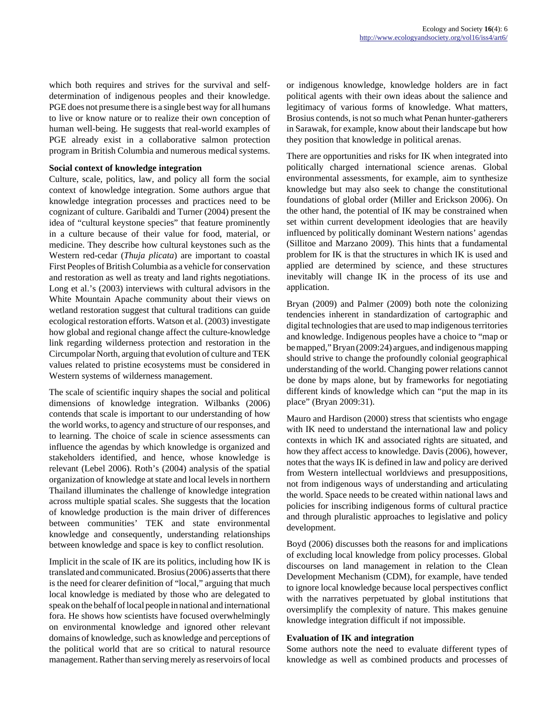which both requires and strives for the survival and selfdetermination of indigenous peoples and their knowledge. PGE does not presume there is a single best way for all humans to live or know nature or to realize their own conception of human well-being. He suggests that real-world examples of PGE already exist in a collaborative salmon protection program in British Columbia and numerous medical systems.

#### **Social context of knowledge integration**

Culture, scale, politics, law, and policy all form the social context of knowledge integration. Some authors argue that knowledge integration processes and practices need to be cognizant of culture. Garibaldi and Turner (2004) present the idea of "cultural keystone species" that feature prominently in a culture because of their value for food, material, or medicine. They describe how cultural keystones such as the Western red-cedar (*Thuja plicata*) are important to coastal First Peoples of British Columbia as a vehicle for conservation and restoration as well as treaty and land rights negotiations. Long et al.'s (2003) interviews with cultural advisors in the White Mountain Apache community about their views on wetland restoration suggest that cultural traditions can guide ecological restoration efforts. Watson et al. (2003) investigate how global and regional change affect the culture-knowledge link regarding wilderness protection and restoration in the Circumpolar North, arguing that evolution of culture and TEK values related to pristine ecosystems must be considered in Western systems of wilderness management.

The scale of scientific inquiry shapes the social and political dimensions of knowledge integration. Wilbanks (2006) contends that scale is important to our understanding of how the world works, to agency and structure of our responses, and to learning. The choice of scale in science assessments can influence the agendas by which knowledge is organized and stakeholders identified, and hence, whose knowledge is relevant (Lebel 2006). Roth's (2004) analysis of the spatial organization of knowledge at state and local levels in northern Thailand illuminates the challenge of knowledge integration across multiple spatial scales. She suggests that the location of knowledge production is the main driver of differences between communities' TEK and state environmental knowledge and consequently, understanding relationships between knowledge and space is key to conflict resolution.

Implicit in the scale of IK are its politics, including how IK is translated and communicated. Brosius (2006) asserts that there is the need for clearer definition of "local," arguing that much local knowledge is mediated by those who are delegated to speak on the behalf of local people in national and international fora. He shows how scientists have focused overwhelmingly on environmental knowledge and ignored other relevant domains of knowledge, such as knowledge and perceptions of the political world that are so critical to natural resource management. Rather than serving merely as reservoirs of local or indigenous knowledge, knowledge holders are in fact political agents with their own ideas about the salience and legitimacy of various forms of knowledge. What matters, Brosius contends, is not so much what Penan hunter-gatherers in Sarawak, for example, know about their landscape but how they position that knowledge in political arenas.

There are opportunities and risks for IK when integrated into politically charged international science arenas. Global environmental assessments, for example, aim to synthesize knowledge but may also seek to change the constitutional foundations of global order (Miller and Erickson 2006). On the other hand, the potential of IK may be constrained when set within current development ideologies that are heavily influenced by politically dominant Western nations' agendas (Sillitoe and Marzano 2009). This hints that a fundamental problem for IK is that the structures in which IK is used and applied are determined by science, and these structures inevitably will change IK in the process of its use and application.

Bryan (2009) and Palmer (2009) both note the colonizing tendencies inherent in standardization of cartographic and digital technologies that are used to map indigenous territories and knowledge. Indigenous peoples have a choice to "map or be mapped," Bryan (2009:24) argues, and indigenous mapping should strive to change the profoundly colonial geographical understanding of the world. Changing power relations cannot be done by maps alone, but by frameworks for negotiating different kinds of knowledge which can "put the map in its place" (Bryan 2009:31).

Mauro and Hardison (2000) stress that scientists who engage with IK need to understand the international law and policy contexts in which IK and associated rights are situated, and how they affect access to knowledge. Davis (2006), however, notes that the ways IK is defined in law and policy are derived from Western intellectual worldviews and presuppositions, not from indigenous ways of understanding and articulating the world. Space needs to be created within national laws and policies for inscribing indigenous forms of cultural practice and through pluralistic approaches to legislative and policy development.

Boyd (2006) discusses both the reasons for and implications of excluding local knowledge from policy processes. Global discourses on land management in relation to the Clean Development Mechanism (CDM), for example, have tended to ignore local knowledge because local perspectives conflict with the narratives perpetuated by global institutions that oversimplify the complexity of nature. This makes genuine knowledge integration difficult if not impossible.

#### **Evaluation of IK and integration**

Some authors note the need to evaluate different types of knowledge as well as combined products and processes of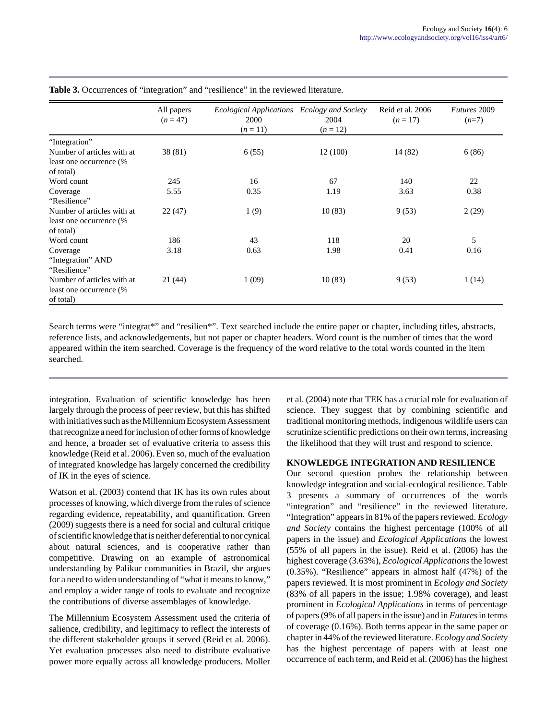|                                                                    | All papers<br>$(n = 47)$ | Ecological Applications Ecology and Society<br>2000<br>$(n=11)$ | 2004<br>$(n=12)$ | Reid et al. 2006<br>$(n = 17)$ | Futures 2009<br>$(n=7)$ |
|--------------------------------------------------------------------|--------------------------|-----------------------------------------------------------------|------------------|--------------------------------|-------------------------|
| "Integration"                                                      |                          |                                                                 |                  |                                |                         |
| Number of articles with at<br>least one occurrence (%              | 38(81)                   | 6(55)                                                           | 12(100)          | 14 (82)                        | 6(86)                   |
| of total)                                                          |                          |                                                                 |                  |                                |                         |
| Word count                                                         | 245                      | 16                                                              | 67               | 140                            | 22                      |
| Coverage                                                           | 5.55                     | 0.35                                                            | 1.19             | 3.63                           | 0.38                    |
| "Resilience"                                                       |                          |                                                                 |                  |                                |                         |
| Number of articles with at<br>least one occurrence (%<br>of total) | 22(47)                   | 1(9)                                                            | 10(83)           | 9(53)                          | 2(29)                   |
| Word count                                                         | 186                      | 43                                                              | 118              | 20                             | 5                       |
| Coverage<br>"Integration" AND<br>"Resilience"                      | 3.18                     | 0.63                                                            | 1.98             | 0.41                           | 0.16                    |
| Number of articles with at<br>least one occurrence (%<br>of total) | 21(44)                   | 1(09)                                                           | 10(83)           | 9(53)                          | 1(14)                   |

**Table 3.** Occurrences of "integration" and "resilience" in the reviewed literature.

Search terms were "integrat\*" and "resilien\*". Text searched include the entire paper or chapter, including titles, abstracts, reference lists, and acknowledgements, but not paper or chapter headers. Word count is the number of times that the word appeared within the item searched. Coverage is the frequency of the word relative to the total words counted in the item searched.

integration. Evaluation of scientific knowledge has been largely through the process of peer review, but this has shifted with initiatives such as the Millennium Ecosystem Assessment that recognize a need for inclusion of other forms of knowledge and hence, a broader set of evaluative criteria to assess this knowledge (Reid et al. 2006). Even so, much of the evaluation of integrated knowledge has largely concerned the credibility of IK in the eyes of science.

Watson et al. (2003) contend that IK has its own rules about processes of knowing, which diverge from the rules of science regarding evidence, repeatability, and quantification. Green (2009) suggests there is a need for social and cultural critique of scientific knowledge that is neither deferential to nor cynical about natural sciences, and is cooperative rather than competitive. Drawing on an example of astronomical understanding by Palikur communities in Brazil, she argues for a need to widen understanding of "what it means to know," and employ a wider range of tools to evaluate and recognize the contributions of diverse assemblages of knowledge.

The Millennium Ecosystem Assessment used the criteria of salience, credibility, and legitimacy to reflect the interests of the different stakeholder groups it served (Reid et al. 2006). Yet evaluation processes also need to distribute evaluative power more equally across all knowledge producers. Moller

et al. (2004) note that TEK has a crucial role for evaluation of science. They suggest that by combining scientific and traditional monitoring methods, indigenous wildlife users can scrutinize scientific predictions on their own terms, increasing the likelihood that they will trust and respond to science.

#### **KNOWLEDGE INTEGRATION AND RESILIENCE**

Our second question probes the relationship between knowledge integration and social-ecological resilience. Table 3 presents a summary of occurrences of the words "integration" and "resilience" in the reviewed literature. "Integration" appears in 81% of the papers reviewed. *Ecology and Society* contains the highest percentage (100% of all papers in the issue) and *Ecological Applications* the lowest (55% of all papers in the issue). Reid et al. (2006) has the highest coverage (3.63%), *Ecological Applications* the lowest (0.35%). "Resilience" appears in almost half (47%) of the papers reviewed. It is most prominent in *Ecology and Society* (83% of all papers in the issue; 1.98% coverage), and least prominent in *Ecological Applications* in terms of percentage of papers (9% of all papers in the issue) and in *Futures* in terms of coverage (0.16%). Both terms appear in the same paper or chapter in 44% of the reviewed literature. *Ecology and Society* has the highest percentage of papers with at least one occurrence of each term, and Reid et al. (2006) has the highest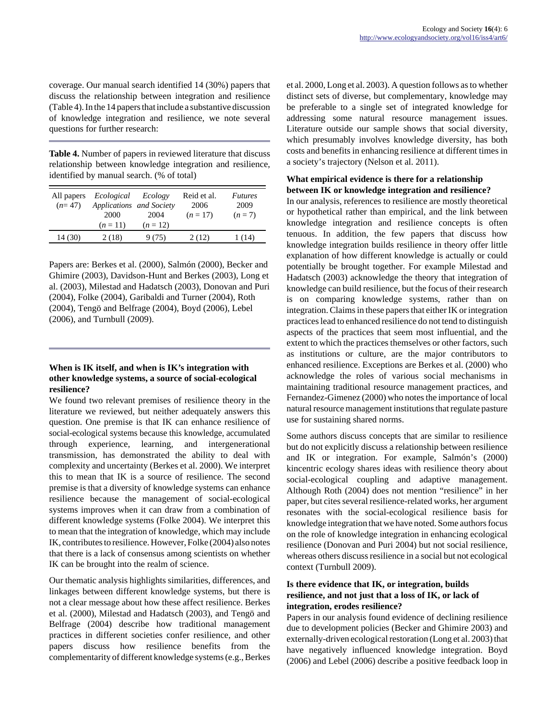coverage. Our manual search identified 14 (30%) papers that discuss the relationship between integration and resilience (Table 4). In the 14 papers that include a substantive discussion of knowledge integration and resilience, we note several questions for further research:

**Table 4.** Number of papers in reviewed literature that discuss relationship between knowledge integration and resilience, identified by manual search. (% of total)

| All papers<br>$(n=47)$ | Ecological<br>Applications and Society<br>2000<br>$(n=11)$ | Ecology<br>2004<br>$(n=12)$ | Reid et al.<br>2006<br>$(n=17)$ | <i>Futures</i><br>2009<br>$(n=7)$ |
|------------------------|------------------------------------------------------------|-----------------------------|---------------------------------|-----------------------------------|
| 14 (30)                | 2(18)                                                      | 9 (75)                      | 2(12)                           | 1 (14)                            |

Papers are: Berkes et al. (2000), Salmón (2000), Becker and Ghimire (2003), Davidson-Hunt and Berkes (2003), Long et al. (2003), Milestad and Hadatsch (2003), Donovan and Puri (2004), Folke (2004), Garibaldi and Turner (2004), Roth (2004), Tengö and Belfrage (2004), Boyd (2006), Lebel (2006), and Turnbull (2009).

### **When is IK itself, and when is IK's integration with other knowledge systems, a source of social-ecological resilience?**

We found two relevant premises of resilience theory in the literature we reviewed, but neither adequately answers this question. One premise is that IK can enhance resilience of social-ecological systems because this knowledge, accumulated through experience, learning, and intergenerational transmission, has demonstrated the ability to deal with complexity and uncertainty (Berkes et al. 2000). We interpret this to mean that IK is a source of resilience. The second premise is that a diversity of knowledge systems can enhance resilience because the management of social-ecological systems improves when it can draw from a combination of different knowledge systems (Folke 2004). We interpret this to mean that the integration of knowledge, which may include IK, contributes to resilience. However, Folke (2004) also notes that there is a lack of consensus among scientists on whether IK can be brought into the realm of science.

Our thematic analysis highlights similarities, differences, and linkages between different knowledge systems, but there is not a clear message about how these affect resilience. Berkes et al. (2000), Milestad and Hadatsch (2003), and Tengö and Belfrage (2004) describe how traditional management practices in different societies confer resilience, and other papers discuss how resilience benefits from the complementarity of different knowledge systems (e.g., Berkes et al. 2000, Long et al. 2003). A question follows as to whether distinct sets of diverse, but complementary, knowledge may be preferable to a single set of integrated knowledge for addressing some natural resource management issues. Literature outside our sample shows that social diversity, which presumably involves knowledge diversity, has both costs and benefits in enhancing resilience at different times in a society's trajectory (Nelson et al. 2011).

### **What empirical evidence is there for a relationship between IK or knowledge integration and resilience?**

In our analysis, references to resilience are mostly theoretical or hypothetical rather than empirical, and the link between knowledge integration and resilience concepts is often tenuous. In addition, the few papers that discuss how knowledge integration builds resilience in theory offer little explanation of how different knowledge is actually or could potentially be brought together. For example Milestad and Hadatsch (2003) acknowledge the theory that integration of knowledge can build resilience, but the focus of their research is on comparing knowledge systems, rather than on integration. Claims in these papers that either IK or integration practices lead to enhanced resilience do not tend to distinguish aspects of the practices that seem most influential, and the extent to which the practices themselves or other factors, such as institutions or culture, are the major contributors to enhanced resilience. Exceptions are Berkes et al. (2000) who acknowledge the roles of various social mechanisms in maintaining traditional resource management practices, and Fernandez-Gimenez (2000) who notes the importance of local natural resource management institutions that regulate pasture use for sustaining shared norms.

Some authors discuss concepts that are similar to resilience but do not explicitly discuss a relationship between resilience and IK or integration. For example, Salmón's (2000) kincentric ecology shares ideas with resilience theory about social-ecological coupling and adaptive management. Although Roth (2004) does not mention "resilience" in her paper, but cites several resilience-related works, her argument resonates with the social-ecological resilience basis for knowledge integration that we have noted. Some authors focus on the role of knowledge integration in enhancing ecological resilience (Donovan and Puri 2004) but not social resilience, whereas others discuss resilience in a social but not ecological context (Turnbull 2009).

### **Is there evidence that IK, or integration, builds resilience, and not just that a loss of IK, or lack of integration, erodes resilience?**

Papers in our analysis found evidence of declining resilience due to development policies (Becker and Ghimire 2003) and externally-driven ecological restoration (Long et al. 2003) that have negatively influenced knowledge integration. Boyd (2006) and Lebel (2006) describe a positive feedback loop in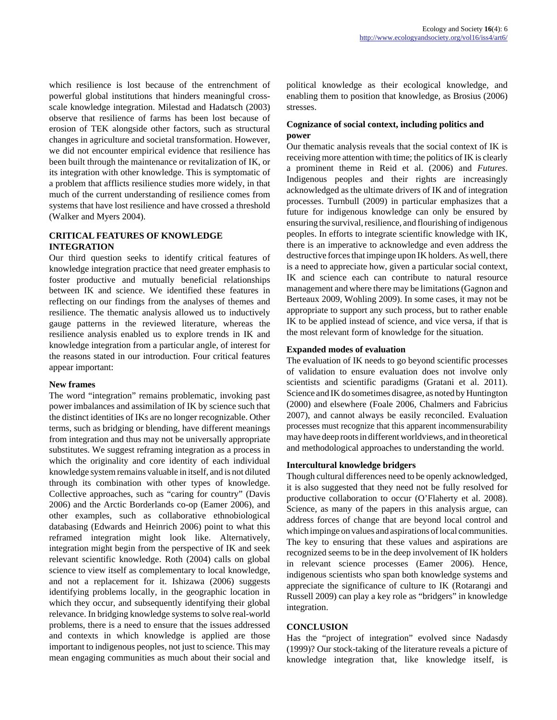which resilience is lost because of the entrenchment of powerful global institutions that hinders meaningful crossscale knowledge integration. Milestad and Hadatsch (2003) observe that resilience of farms has been lost because of erosion of TEK alongside other factors, such as structural changes in agriculture and societal transformation. However, we did not encounter empirical evidence that resilience has been built through the maintenance or revitalization of IK, or its integration with other knowledge. This is symptomatic of a problem that afflicts resilience studies more widely, in that much of the current understanding of resilience comes from systems that have lost resilience and have crossed a threshold (Walker and Myers 2004).

#### **CRITICAL FEATURES OF KNOWLEDGE INTEGRATION**

Our third question seeks to identify critical features of knowledge integration practice that need greater emphasis to foster productive and mutually beneficial relationships between IK and science. We identified these features in reflecting on our findings from the analyses of themes and resilience. The thematic analysis allowed us to inductively gauge patterns in the reviewed literature, whereas the resilience analysis enabled us to explore trends in IK and knowledge integration from a particular angle, of interest for the reasons stated in our introduction. Four critical features appear important:

### **New frames**

The word "integration" remains problematic, invoking past power imbalances and assimilation of IK by science such that the distinct identities of IKs are no longer recognizable. Other terms, such as bridging or blending, have different meanings from integration and thus may not be universally appropriate substitutes. We suggest reframing integration as a process in which the originality and core identity of each individual knowledge system remains valuable in itself, and is not diluted through its combination with other types of knowledge. Collective approaches, such as "caring for country" (Davis 2006) and the Arctic Borderlands co-op (Eamer 2006), and other examples, such as collaborative ethnobiological databasing (Edwards and Heinrich 2006) point to what this reframed integration might look like. Alternatively, integration might begin from the perspective of IK and seek relevant scientific knowledge. Roth (2004) calls on global science to view itself as complementary to local knowledge, and not a replacement for it. Ishizawa (2006) suggests identifying problems locally, in the geographic location in which they occur, and subsequently identifying their global relevance. In bridging knowledge systems to solve real-world problems, there is a need to ensure that the issues addressed and contexts in which knowledge is applied are those important to indigenous peoples, not just to science. This may mean engaging communities as much about their social and political knowledge as their ecological knowledge, and enabling them to position that knowledge, as Brosius (2006) stresses.

### **Cognizance of social context, including politics and power**

Our thematic analysis reveals that the social context of IK is receiving more attention with time; the politics of IK is clearly a prominent theme in Reid et al. (2006) and *Futures*. Indigenous peoples and their rights are increasingly acknowledged as the ultimate drivers of IK and of integration processes. Turnbull (2009) in particular emphasizes that a future for indigenous knowledge can only be ensured by ensuring the survival, resilience, and flourishing of indigenous peoples. In efforts to integrate scientific knowledge with IK, there is an imperative to acknowledge and even address the destructive forces that impinge upon IK holders. As well, there is a need to appreciate how, given a particular social context, IK and science each can contribute to natural resource management and where there may be limitations (Gagnon and Berteaux 2009, Wohling 2009). In some cases, it may not be appropriate to support any such process, but to rather enable IK to be applied instead of science, and vice versa, if that is the most relevant form of knowledge for the situation.

### **Expanded modes of evaluation**

The evaluation of IK needs to go beyond scientific processes of validation to ensure evaluation does not involve only scientists and scientific paradigms (Gratani et al. 2011). Science and IK do sometimes disagree, as noted by Huntington (2000) and elsewhere (Foale 2006, Chalmers and Fabricius 2007), and cannot always be easily reconciled. Evaluation processes must recognize that this apparent incommensurability may have deep roots in different worldviews, and in theoretical and methodological approaches to understanding the world.

### **Intercultural knowledge bridgers**

Though cultural differences need to be openly acknowledged, it is also suggested that they need not be fully resolved for productive collaboration to occur (O'Flaherty et al. 2008). Science, as many of the papers in this analysis argue, can address forces of change that are beyond local control and which impinge on values and aspirations of local communities. The key to ensuring that these values and aspirations are recognized seems to be in the deep involvement of IK holders in relevant science processes (Eamer 2006). Hence, indigenous scientists who span both knowledge systems and appreciate the significance of culture to IK (Rotarangi and Russell 2009) can play a key role as "bridgers" in knowledge integration.

### **CONCLUSION**

Has the "project of integration" evolved since Nadasdy (1999)? Our stock-taking of the literature reveals a picture of knowledge integration that, like knowledge itself, is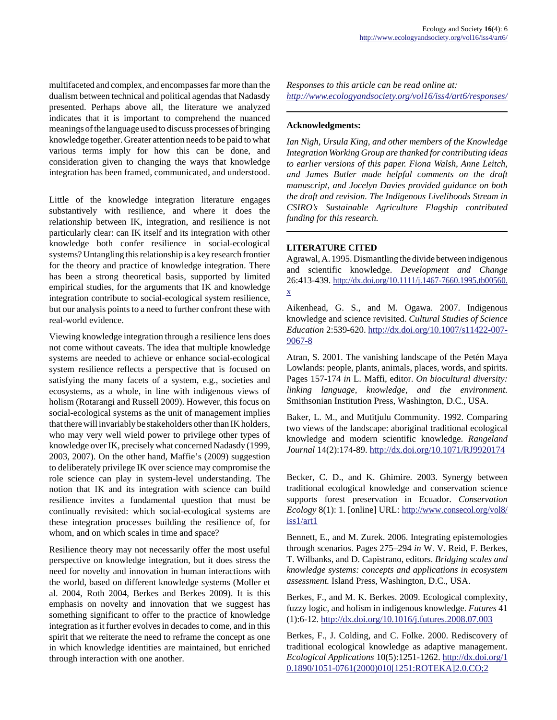multifaceted and complex, and encompasses far more than the dualism between technical and political agendas that Nadasdy presented. Perhaps above all, the literature we analyzed indicates that it is important to comprehend the nuanced meanings of the language used to discuss processes of bringing knowledge together. Greater attention needs to be paid to what various terms imply for how this can be done, and consideration given to changing the ways that knowledge integration has been framed, communicated, and understood.

Little of the knowledge integration literature engages substantively with resilience, and where it does the relationship between IK, integration, and resilience is not particularly clear: can IK itself and its integration with other knowledge both confer resilience in social-ecological systems? Untangling this relationship is a key research frontier for the theory and practice of knowledge integration. There has been a strong theoretical basis, supported by limited empirical studies, for the arguments that IK and knowledge integration contribute to social-ecological system resilience, but our analysis points to a need to further confront these with real-world evidence.

Viewing knowledge integration through a resilience lens does not come without caveats. The idea that multiple knowledge systems are needed to achieve or enhance social-ecological system resilience reflects a perspective that is focused on satisfying the many facets of a system, e.g., societies and ecosystems, as a whole, in line with indigenous views of holism (Rotarangi and Russell 2009). However, this focus on social-ecological systems as the unit of management implies that there will invariably be stakeholders other than IK holders, who may very well wield power to privilege other types of knowledge over IK, precisely what concerned Nadasdy (1999, 2003, 2007). On the other hand, Maffie's (2009) suggestion to deliberately privilege IK over science may compromise the role science can play in system-level understanding. The notion that IK and its integration with science can build resilience invites a fundamental question that must be continually revisited: which social-ecological systems are these integration processes building the resilience of, for whom, and on which scales in time and space?

Resilience theory may not necessarily offer the most useful perspective on knowledge integration, but it does stress the need for novelty and innovation in human interactions with the world, based on different knowledge systems (Moller et al. 2004, Roth 2004, Berkes and Berkes 2009). It is this emphasis on novelty and innovation that we suggest has something significant to offer to the practice of knowledge integration as it further evolves in decades to come, and in this spirit that we reiterate the need to reframe the concept as one in which knowledge identities are maintained, but enriched through interaction with one another.

*Responses to this article can be read online at: <http://www.ecologyandsociety.org/vol16/iss4/art6/responses/>*

#### **Acknowledgments:**

*Ian Nigh, Ursula King, and other members of the Knowledge Integration Working Group are thanked for contributing ideas to earlier versions of this paper. Fiona Walsh, Anne Leitch, and James Butler made helpful comments on the draft manuscript, and Jocelyn Davies provided guidance on both the draft and revision. The Indigenous Livelihoods Stream in CSIRO's Sustainable Agriculture Flagship contributed funding for this research.* 

#### **LITERATURE CITED**

Agrawal, A. 1995. Dismantling the divide between indigenous and scientific knowledge. *Development and Change* 26:413-439. [http://dx.doi.org/10.1111/j.1467-7660.1995.tb00560.](http://dx.doi.org/10.1111/j.1467-7660.1995.tb00560.x)  $\underline{\mathbf{X}}$ 

Aikenhead, G. S., and M. Ogawa. 2007. Indigenous knowledge and science revisited. *Cultural Studies of Science Education* 2:539-620. [http://dx.doi.org/10.1007/s11422-007-](http://dx.doi.org/10.1007/s11422-007-9067-8) [9067-8](http://dx.doi.org/10.1007/s11422-007-9067-8)

Atran, S. 2001. The vanishing landscape of the Petén Maya Lowlands: people, plants, animals, places, words, and spirits. Pages 157-174 *in* L. Maffi, editor. *On biocultural diversity: linking language, knowledge, and the environment.* Smithsonian Institution Press, Washington, D.C., USA.

Baker, L. M., and Mutitjulu Community. 1992. Comparing two views of the landscape: aboriginal traditional ecological knowledge and modern scientific knowledge. *Rangeland Journal* 14(2):174-89.<http://dx.doi.org/10.1071/RJ9920174>

Becker, C. D., and K. Ghimire. 2003. Synergy between traditional ecological knowledge and conservation science supports forest preservation in Ecuador. *Conservation Ecology* 8(1): 1. [online] URL: [http://www.consecol.org/vol8/](http://www.consecol.org/vol8/iss1/art1) [iss1/art1](http://www.consecol.org/vol8/iss1/art1)

Bennett, E., and M. Zurek. 2006. Integrating epistemologies through scenarios. Pages 275–294 *in* W. V. Reid, F. Berkes, T. Wilbanks, and D. Capistrano, editors. *Bridging scales and knowledge systems: concepts and applications in ecosystem assessment.* Island Press, Washington, D.C., USA.

Berkes, F., and M. K. Berkes. 2009. Ecological complexity, fuzzy logic, and holism in indigenous knowledge. *Futures* 41 (1):6-12. <http://dx.doi.org/10.1016/j.futures.2008.07.003>

Berkes, F., J. Colding, and C. Folke. 2000. Rediscovery of traditional ecological knowledge as adaptive management. *Ecological Applications* 10(5):1251-1262. [http://dx.doi.org/1](http://dx.doi.org/10.1890/1051-0761(2000)010[1251:ROTEKA]2.0.CO;2) [0.1890/1051-0761\(2000\)010\[1251:ROTEKA\]2.0.CO;2](http://dx.doi.org/10.1890/1051-0761(2000)010[1251:ROTEKA]2.0.CO;2)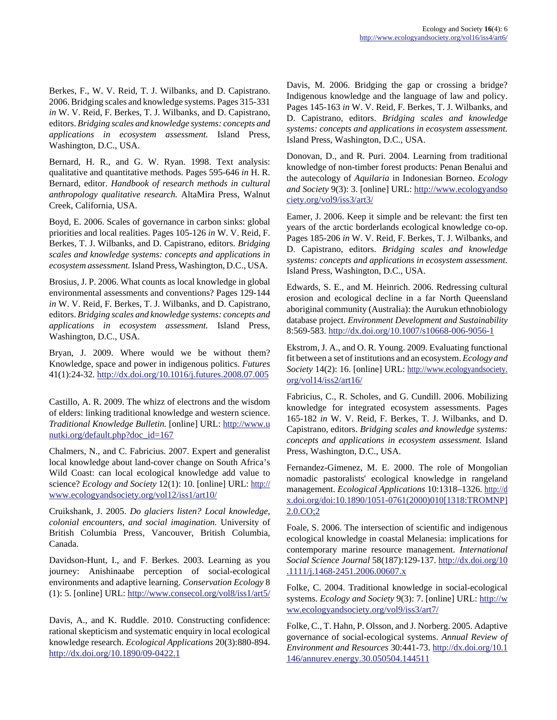Berkes, F., W. V. Reid, T. J. Wilbanks, and D. Capistrano. 2006. Bridging scales and knowledge systems. Pages 315-331 *in* W. V. Reid, F. Berkes, T. J. Wilbanks, and D. Capistrano, editors. *Bridging scales and knowledge systems: concepts and applications in ecosystem assessment.* Island Press, Washington, D.C., USA.

Bernard, H. R., and G. W. Ryan. 1998. Text analysis: qualitative and quantitative methods. Pages 595-646 *in* H. R. Bernard, editor. *Handbook of research methods in cultural anthropology qualitative research.* AltaMira Press, Walnut Creek, California, USA.

Boyd, E. 2006. Scales of governance in carbon sinks: global priorities and local realities. Pages 105-126 *in* W. V. Reid, F. Berkes, T. J. Wilbanks, and D. Capistrano, editors. *Bridging scales and knowledge systems: concepts and applications in ecosystem assessment.* Island Press, Washington, D.C., USA.

Brosius, J. P. 2006. What counts as local knowledge in global environmental assessments and conventions? Pages 129-144 *in* W. V. Reid, F. Berkes, T. J. Wilbanks, and D. Capistrano, editors. *Bridging scales and knowledge systems: concepts and applications in ecosystem assessment.* Island Press, Washington, D.C., USA.

Bryan, J. 2009. Where would we be without them? Knowledge, space and power in indigenous politics. *Futures* 41(1):24-32. <http://dx.doi.org/10.1016/j.futures.2008.07.005>

Castillo, A. R. 2009. The whizz of electrons and the wisdom of elders: linking traditional knowledge and western science. *Traditional Knowledge Bulletin.* [online] URL: [http://www.u](http://www.unutki.org/default.php?doc_id=167) [nutki.org/default.php?doc\\_id=167](http://www.unutki.org/default.php?doc_id=167)

Chalmers, N., and C. Fabricius. 2007. Expert and generalist local knowledge about land-cover change on South Africa's Wild Coast: can local ecological knowledge add value to science? *Ecology and Society* 12(1): 10. [online] URL: [http://](http://www.ecologyandsociety.org/vol12/iss1/art10/) [www.ecologyandsociety.org/vol12/iss1/art10/](http://www.ecologyandsociety.org/vol12/iss1/art10/)

Cruikshank, J. 2005. *Do glaciers listen? Local knowledge, colonial encounters, and social imagination.* University of British Columbia Press, Vancouver, British Columbia, Canada.

Davidson-Hunt, I., and F. Berkes. 2003. Learning as you journey: Anishinaabe perception of social-ecological environments and adaptive learning. *Conservation Ecology* 8 (1): 5. [online] URL:<http://www.consecol.org/vol8/iss1/art5/>

Davis, A., and K. Ruddle. 2010. Constructing confidence: rational skepticism and systematic enquiry in local ecological knowledge research. *Ecological Applications* 20(3):880-894. <http://dx.doi.org/10.1890/09-0422.1>

Davis, M. 2006. Bridging the gap or crossing a bridge? Indigenous knowledge and the language of law and policy. Pages 145-163 *in* W. V. Reid, F. Berkes, T. J. Wilbanks, and D. Capistrano, editors. *Bridging scales and knowledge systems: concepts and applications in ecosystem assessment.* Island Press, Washington, D.C., USA.

Donovan, D., and R. Puri. 2004. Learning from traditional knowledge of non-timber forest products: Penan Benalui and the autecology of *Aquilaria* in Indonesian Borneo. *Ecology and Society* 9(3): 3. [online] URL: [http://www.ecologyandso](http://www.ecologyandsociety.org/vol9/iss3/art3/) [ciety.org/vol9/iss3/art3/](http://www.ecologyandsociety.org/vol9/iss3/art3/)

Eamer, J. 2006. Keep it simple and be relevant: the first ten years of the arctic borderlands ecological knowledge co-op. Pages 185-206 *in* W. V. Reid, F. Berkes, T. J. Wilbanks, and D. Capistrano, editors. *Bridging scales and knowledge systems: concepts and applications in ecosystem assessment.* Island Press, Washington, D.C., USA.

Edwards, S. E., and M. Heinrich. 2006. Redressing cultural erosion and ecological decline in a far North Queensland aboriginal community (Australia): the Aurukun ethnobiology database project. *Environment Development and Sustainability* 8:569-583.<http://dx.doi.org/10.1007/s10668-006-9056-1>

Ekstrom, J. A., and O. R. Young. 2009. Evaluating functional fit between a set of institutions and an ecosystem. *Ecology and Society* 14(2): 16. [online] URL: [http://www.ecologyandsociety.](http://www.ecologyandsociety.org/vol14/iss2/art16/) [org/vol14/iss2/art16/](http://www.ecologyandsociety.org/vol14/iss2/art16/)

Fabricius, C., R. Scholes, and G. Cundill. 2006. Mobilizing knowledge for integrated ecosystem assessments. Pages 165-182 *in* W. V. Reid, F. Berkes, T. J. Wilbanks, and D. Capistrano, editors. *Bridging scales and knowledge systems: concepts and applications in ecosystem assessment.* Island Press, Washington, D.C., USA.

Fernandez-Gimenez, M. E. 2000. The role of Mongolian nomadic pastoralists' ecological knowledge in rangeland management. *Ecological Applications* 10:1318–1326. [http://d](http://dx.doi.org/doi:10.1890/1051-0761(2000)010[1318:TROMNP]2.0.CO;2) x.doi.org/doi:10.1890/1051-0761(2000)010[1318:TROMNP] [2.0.CO;2](http://dx.doi.org/doi:10.1890/1051-0761(2000)010[1318:TROMNP]2.0.CO;2)

Foale, S. 2006. The intersection of scientific and indigenous ecological knowledge in coastal Melanesia: implications for contemporary marine resource management. *International Social Science Journal* 58(187):129-137. [http://dx.doi.org/10](http://dx.doi.org/10.1111/j.1468-2451.2006.00607.x) [.1111/j.1468-2451.2006.00607.x](http://dx.doi.org/10.1111/j.1468-2451.2006.00607.x)

Folke, C. 2004. Traditional knowledge in social-ecological systems. *Ecology and Society* 9(3): 7. [online] URL: [http://w](http://www.ecologyandsociety.org/vol9/iss3/art7/) [ww.ecologyandsociety.org/vol9/iss3/art7/](http://www.ecologyandsociety.org/vol9/iss3/art7/)

Folke, C., T. Hahn, P. Olsson, and J. Norberg. 2005. Adaptive governance of social-ecological systems. *Annual Review of Environment and Resources* 30:441-73. [http://dx.doi.org/10.1](http://dx.doi.org/10.1146/annurev.energy.30.050504.144511) [146/annurev.energy.30.050504.144511](http://dx.doi.org/10.1146/annurev.energy.30.050504.144511)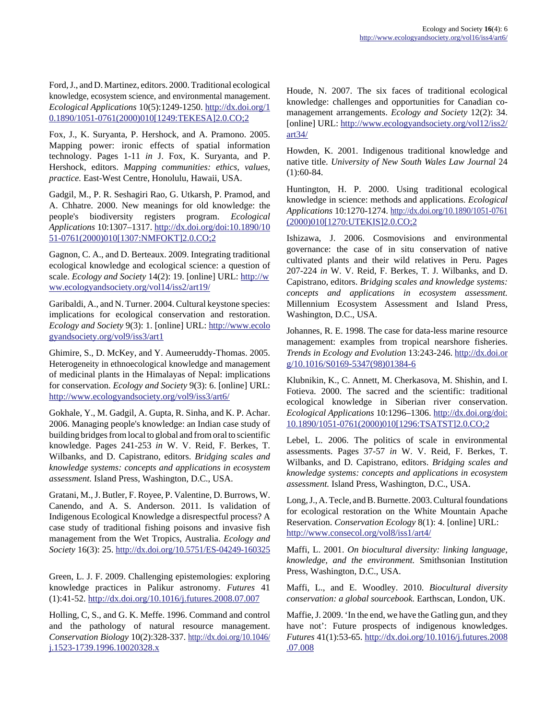Ford, J., and D. Martinez, editors. 2000. Traditional ecological knowledge, ecosystem science, and environmental management. *Ecological Applications* 10(5):1249-1250. [http://dx.doi.org/1](http://dx.doi.org/10.1890/1051-0761(2000)010[1249:TEKESA]2.0.CO;2) [0.1890/1051-0761\(2000\)010\[1249:TEKESA\]2.0.CO;2](http://dx.doi.org/10.1890/1051-0761(2000)010[1249:TEKESA]2.0.CO;2)

Fox, J., K. Suryanta, P. Hershock, and A. Pramono. 2005. Mapping power: ironic effects of spatial information technology. Pages 1-11 *in* J. Fox, K. Suryanta, and P. Hershock, editors. *Mapping communities: ethics, values, practice.* East-West Centre, Honolulu, Hawaii, USA.

Gadgil, M., P. R. Seshagiri Rao, G. Utkarsh, P. Pramod, and A. Chhatre. 2000. New meanings for old knowledge: the people's biodiversity registers program. *Ecological Applications* 10:1307–1317. [http://dx.doi.org/doi:10.1890/10](http://dx.doi.org/doi:10.1890/1051-0761(2000)010[1307:NMFOKT]2.0.CO;2) [51-0761\(2000\)010\[1307:NMFOKT\]2.0.CO;2](http://dx.doi.org/doi:10.1890/1051-0761(2000)010[1307:NMFOKT]2.0.CO;2)

Gagnon, C. A., and D. Berteaux. 2009. Integrating traditional ecological knowledge and ecological science: a question of scale. *Ecology and Society* 14(2): 19. [online] URL: [http://w](http://www.ecologyandsociety.org/vol14/iss2/art19/) [ww.ecologyandsociety.org/vol14/iss2/art19/](http://www.ecologyandsociety.org/vol14/iss2/art19/)

Garibaldi, A., and N. Turner. 2004. Cultural keystone species: implications for ecological conservation and restoration. *Ecology and Society* 9(3): 1. [online] URL: [http://www.ecolo](http://www.ecologyandsociety.org/vol9/iss3/art1) [gyandsociety.org/vol9/iss3/art1](http://www.ecologyandsociety.org/vol9/iss3/art1)

Ghimire, S., D. McKey, and Y. Aumeeruddy-Thomas. 2005. Heterogeneity in ethnoecological knowledge and management of medicinal plants in the Himalayas of Nepal: implications for conservation. *Ecology and Society* 9(3): 6. [online] URL: <http://www.ecologyandsociety.org/vol9/iss3/art6/>

Gokhale, Y., M. Gadgil, A. Gupta, R. Sinha, and K. P. Achar. 2006. Managing people's knowledge: an Indian case study of building bridges from local to global and from oral to scientific knowledge. Pages 241-253 *in* W. V. Reid, F. Berkes, T. Wilbanks, and D. Capistrano, editors. *Bridging scales and knowledge systems: concepts and applications in ecosystem assessment.* Island Press, Washington, D.C., USA.

Gratani, M., J. Butler, F. Royee, P. Valentine, D. Burrows, W. Canendo, and A. S. Anderson. 2011. Is validation of Indigenous Ecological Knowledge a disrespectful process? A case study of traditional fishing poisons and invasive fish management from the Wet Tropics, Australia. *Ecology and Society* 16(3): 25.<http://dx.doi.org/10.5751/ES-04249-160325>

Green, L. J. F. 2009. Challenging epistemologies: exploring knowledge practices in Palikur astronomy. *Futures* 41 (1):41-52. <http://dx.doi.org/10.1016/j.futures.2008.07.007>

Holling, C, S., and G. K. Meffe. 1996. Command and control and the pathology of natural resource management. *Conservation Biology* 10(2):328-337. [http://dx.doi.org/10.1046/](http://dx.doi.org/10.1046/j.1523-1739.1996.10020328.x) [j.1523-1739.1996.10020328.x](http://dx.doi.org/10.1046/j.1523-1739.1996.10020328.x)

Houde, N. 2007. The six faces of traditional ecological knowledge: challenges and opportunities for Canadian comanagement arrangements. *Ecology and Society* 12(2): 34. [online] URL: [http://www.ecologyandsociety.org/vol12/iss2/](http://www.ecologyandsociety.org/vol12/iss2/art34/) [art34/](http://www.ecologyandsociety.org/vol12/iss2/art34/)

Howden, K. 2001. Indigenous traditional knowledge and native title. *University of New South Wales Law Journal* 24 (1):60-84.

Huntington, H. P. 2000. Using traditional ecological knowledge in science: methods and applications. *Ecological Applications* 10:1270-1274. [http://dx.doi.org/10.1890/1051-0761](http://dx.doi.org/10.1890/1051-0761(2000)010[1270:UTEKIS]2.0.CO;2) [\(2000\)010\[1270:UTEKIS\]2.0.CO;2](http://dx.doi.org/10.1890/1051-0761(2000)010[1270:UTEKIS]2.0.CO;2)

Ishizawa, J. 2006. Cosmovisions and environmental governance: the case of in situ conservation of native cultivated plants and their wild relatives in Peru. Pages 207-224 *in* W. V. Reid, F. Berkes, T. J. Wilbanks, and D. Capistrano, editors. *Bridging scales and knowledge systems: concepts and applications in ecosystem assessment.* Millennium Ecosystem Assessment and Island Press, Washington, D.C., USA.

Johannes, R. E. 1998. The case for data-less marine resource management: examples from tropical nearshore fisheries. *Trends in Ecology and Evolution* 13:243-246. [http://dx.doi.or](http://dx.doi.org/10.1016/S0169-5347(98)01384-6) [g/10.1016/S0169-5347\(98\)01384-6](http://dx.doi.org/10.1016/S0169-5347(98)01384-6)

Klubnikin, K., C. Annett, M. Cherkasova, M. Shishin, and I. Fotieva. 2000. The sacred and the scientific: traditional ecological knowledge in Siberian river conservation. *Ecological Applications* 10:1296–1306. [http://dx.doi.org/doi:](http://dx.doi.org/doi:10.1890/1051-0761(2000)010[1296:TSATST]2.0.CO;2) [10.1890/1051-0761\(2000\)010\[1296:TSATST\]2.0.CO;2](http://dx.doi.org/doi:10.1890/1051-0761(2000)010[1296:TSATST]2.0.CO;2)

Lebel, L. 2006. The politics of scale in environmental assessments. Pages 37-57 *in* W. V. Reid, F. Berkes, T. Wilbanks, and D. Capistrano, editors. *Bridging scales and knowledge systems: concepts and applications in ecosystem assessment.* Island Press, Washington, D.C., USA.

Long, J., A. Tecle, and B. Burnette. 2003. Cultural foundations for ecological restoration on the White Mountain Apache Reservation. *Conservation Ecology* 8(1): 4. [online] URL: <http://www.consecol.org/vol8/iss1/art4/>

Maffi, L. 2001. *On biocultural diversity: linking language, knowledge, and the environment.* Smithsonian Institution Press, Washington, D.C., USA.

Maffi, L., and E. Woodley. 2010. *Biocultural diversity conservation: a global sourcebook.* Earthscan, London, UK.

Maffie, J. 2009. 'In the end, we have the Gatling gun, and they have not': Future prospects of indigenous knowledges. *Futures* 41(1):53-65. [http://dx.doi.org/10.1016/j.futures.2008](http://dx.doi.org/10.1016/j.futures.2008.07.008) [.07.008](http://dx.doi.org/10.1016/j.futures.2008.07.008)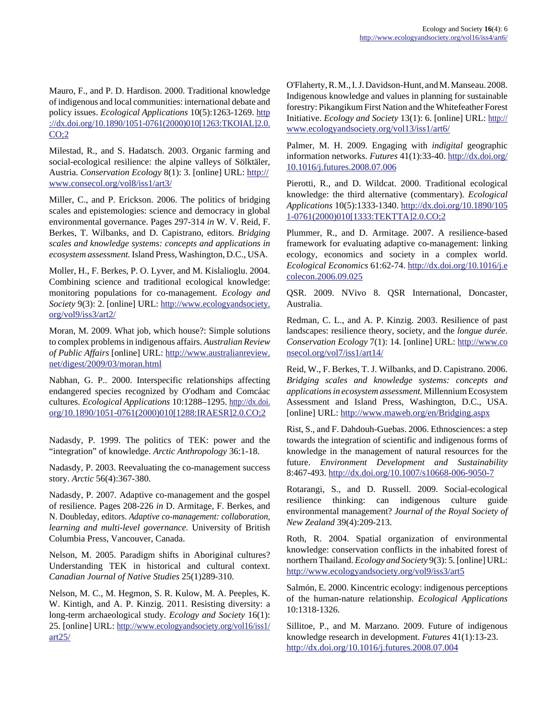Mauro, F., and P. D. Hardison. 2000. Traditional knowledge of indigenous and local communities: international debate and policy issues. *Ecological Applications* 10(5):1263-1269. [http](http://dx.doi.org/10.1890/1051-0761(2000)010[1263:TKOIAL]2.0.CO;2) ://dx.doi.org/10.1890/1051-0761(2000)010[1263:TKOIAL]2.0. [CO;2](http://dx.doi.org/10.1890/1051-0761(2000)010[1263:TKOIAL]2.0.CO;2)

Milestad, R., and S. Hadatsch. 2003. Organic farming and social-ecological resilience: the alpine valleys of Sölktäler, Austria. *Conservation Ecology* 8(1): 3. [online] URL: [http://](http://www.consecol.org/vol8/iss1/art3/) [www.consecol.org/vol8/iss1/art3/](http://www.consecol.org/vol8/iss1/art3/)

Miller, C., and P. Erickson. 2006. The politics of bridging scales and epistemologies: science and democracy in global environmental governance. Pages 297-314 *in* W. V. Reid, F. Berkes, T. Wilbanks, and D. Capistrano, editors. *Bridging scales and knowledge systems: concepts and applications in ecosystem assessment.* Island Press, Washington, D.C., USA.

Moller, H., F. Berkes, P. O. Lyver, and M. Kislalioglu. 2004. Combining science and traditional ecological knowledge: monitoring populations for co-management. *Ecology and Society* 9(3): 2. [online] URL: [http://www.ecologyandsociety.](http://www.ecologyandsociety.org/vol9/iss3/art2/) [org/vol9/iss3/art2/](http://www.ecologyandsociety.org/vol9/iss3/art2/)

Moran, M. 2009. What job, which house?: Simple solutions to complex problems in indigenous affairs. *Australian Review of Public Affairs* [online] URL: [http://www.australianreview.](http://www.australianreview.net/digest/2009/03/moran.html) [net/digest/2009/03/moran.html](http://www.australianreview.net/digest/2009/03/moran.html)

Nabhan, G. P.. 2000. Interspecific relationships affecting endangered species recognized by O'odham and Comcáac cultures. *Ecological Applications* 10:1288–1295. [http://dx.doi.](http://dx.doi.org/10.1890/1051-0761(2000)010[1288:IRAESR]2.0.CO;2) [org/10.1890/1051-0761\(2000\)010\[1288:IRAESR\]2.0.CO;2](http://dx.doi.org/10.1890/1051-0761(2000)010[1288:IRAESR]2.0.CO;2)

Nadasdy, P. 1999. The politics of TEK: power and the "integration" of knowledge. *Arctic Anthropology* 36:1-18.

Nadasdy, P. 2003. Reevaluating the co-management success story. *Arctic* 56(4):367-380.

Nadasdy, P. 2007. Adaptive co-management and the gospel of resilience. Pages 208-226 *in* D. Armitage, F. Berkes, and N. Doubleday, editors. *Adaptive co-management: collaboration, learning and multi-level governance.* University of British Columbia Press, Vancouver, Canada.

Nelson, M. 2005. Paradigm shifts in Aboriginal cultures? Understanding TEK in historical and cultural context. *Canadian Journal of Native Studies* 25(1)289-310.

Nelson, M. C., M. Hegmon, S. R. Kulow, M. A. Peeples, K. W. Kintigh, and A. P. Kinzig. 2011. Resisting diversity: a long-term archaeological study. *Ecology and Society* 16(1): 25. [online] URL: [http://www.ecologyandsociety.org/vol16/iss1/](http://www.ecologyandsociety.org/vol16/iss1/art25/) [art25/](http://www.ecologyandsociety.org/vol16/iss1/art25/)

O'Flaherty, R. M., I. J. Davidson-Hunt, and M. Manseau. 2008. Indigenous knowledge and values in planning for sustainable forestry: Pikangikum First Nation and the Whitefeather Forest Initiative. *Ecology and Society* 13(1): 6. [online] URL: [http://](http://www.ecologyandsociety.org/vol13/iss1/art6/) [www.ecologyandsociety.org/vol13/iss1/art6/](http://www.ecologyandsociety.org/vol13/iss1/art6/)

Palmer, M. H. 2009. Engaging with *indigital* geographic information networks. *Futures* 41(1):33-40. [http://dx.doi.org/](http://dx.doi.org/10.1016/j.futures.2008.07.006) [10.1016/j.futures.2008.07.006](http://dx.doi.org/10.1016/j.futures.2008.07.006)

Pierotti, R., and D. Wildcat. 2000. Traditional ecological knowledge: the third alternative (commentary). *Ecological Applications* 10(5):1333-1340. [http://dx.doi.org/10.1890/105](http://dx.doi.org/10.1890/1051-0761(2000)010[1333:TEKTTA]2.0.CO;2) [1-0761\(2000\)010\[1333:TEKTTA\]2.0.CO;2](http://dx.doi.org/10.1890/1051-0761(2000)010[1333:TEKTTA]2.0.CO;2)

Plummer, R., and D. Armitage. 2007. A resilience-based framework for evaluating adaptive co-management: linking ecology, economics and society in a complex world. *Ecological Economics* 61:62-74. [http://dx.doi.org/10.1016/j.e](http://dx.doi.org/10.1016/j.ecolecon.2006.09.025) [colecon.2006.09.025](http://dx.doi.org/10.1016/j.ecolecon.2006.09.025)

QSR. 2009. NVivo 8. QSR International, Doncaster, Australia.

Redman, C. L., and A. P. Kinzig. 2003. Resilience of past landscapes: resilience theory, society, and the *longue durée*. *Conservation Ecology* 7(1): 14. [online] URL: [http://www.co](http://www.consecol.org/vol7/iss1/art14/) [nsecol.org/vol7/iss1/art14/](http://www.consecol.org/vol7/iss1/art14/)

Reid, W., F. Berkes, T. J. Wilbanks, and D. Capistrano. 2006. *Bridging scales and knowledge systems: concepts and applications in ecosystem assessment.* Millennium Ecosystem Assessment and Island Press, Washington, D.C., USA. [online] URL:<http://www.maweb.org/en/Bridging.aspx>

Rist, S., and F. Dahdouh-Guebas. 2006. Ethnosciences: a step towards the integration of scientific and indigenous forms of knowledge in the management of natural resources for the future. *Environment Development and Sustainability* 8:467-493.<http://dx.doi.org/10.1007/s10668-006-9050-7>

Rotarangi, S., and D. Russell. 2009. Social-ecological resilience thinking: can indigenous culture guide environmental management? *Journal of the Royal Society of New Zealand* 39(4):209-213.

Roth, R. 2004. Spatial organization of environmental knowledge: conservation conflicts in the inhabited forest of northern Thailand. *Ecology and Society* 9(3): 5. [online] URL: <http://www.ecologyandsociety.org/vol9/iss3/art5>

Salmón, E. 2000. Kincentric ecology: indigenous perceptions of the human-nature relationship. *Ecological Applications* 10:1318-1326.

Sillitoe, P., and M. Marzano. 2009. Future of indigenous knowledge research in development. *Futures* 41(1):13-23. <http://dx.doi.org/10.1016/j.futures.2008.07.004>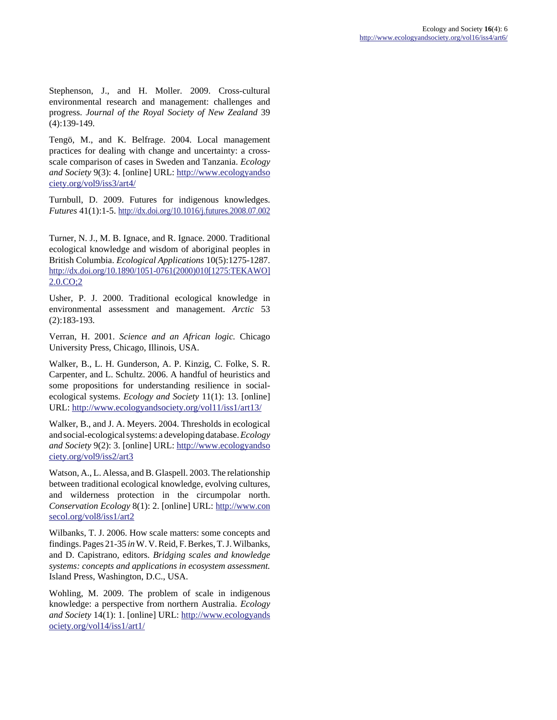Stephenson, J., and H. Moller. 2009. Cross-cultural environmental research and management: challenges and progress. *Journal of the Royal Society of New Zealand* 39 (4):139-149.

Tengö, M., and K. Belfrage. 2004. Local management practices for dealing with change and uncertainty: a crossscale comparison of cases in Sweden and Tanzania. *Ecology and Society* 9(3): 4. [online] URL: [http://www.ecologyandso](http://www.ecologyandsociety.org/vol9/iss3/art4/) [ciety.org/vol9/iss3/art4/](http://www.ecologyandsociety.org/vol9/iss3/art4/)

Turnbull, D. 2009. Futures for indigenous knowledges. *Futures* 41(1):1-5.<http://dx.doi.org/10.1016/j.futures.2008.07.002>

Turner, N. J., M. B. Ignace, and R. Ignace. 2000. Traditional ecological knowledge and wisdom of aboriginal peoples in British Columbia. *Ecological Applications* 10(5):1275-1287. [http://dx.doi.org/10.1890/1051-0761\(2000\)010\[1275:TEKAWO\]](http://dx.doi.org/10.1890/1051-0761(2000)010[1275:TEKAWO]2.0.CO;2) [2.0.CO;2](http://dx.doi.org/10.1890/1051-0761(2000)010[1275:TEKAWO]2.0.CO;2)

Usher, P. J. 2000. Traditional ecological knowledge in environmental assessment and management. *Arctic* 53 (2):183-193.

Verran, H. 2001. *Science and an African logic.* Chicago University Press, Chicago, Illinois, USA.

Walker, B., L. H. Gunderson, A. P. Kinzig, C. Folke, S. R. Carpenter, and L. Schultz. 2006. A handful of heuristics and some propositions for understanding resilience in socialecological systems. *Ecology and Society* 11(1): 13. [online] URL:<http://www.ecologyandsociety.org/vol11/iss1/art13/>

Walker, B., and J. A. Meyers. 2004. Thresholds in ecological and social-ecological systems: a developing database. *Ecology and Society* 9(2): 3. [online] URL: [http://www.ecologyandso](http://www.ecologyandsociety.org/vol9/iss2/art3) [ciety.org/vol9/iss2/art3](http://www.ecologyandsociety.org/vol9/iss2/art3)

Watson, A., L. Alessa, and B. Glaspell. 2003. The relationship between traditional ecological knowledge, evolving cultures, and wilderness protection in the circumpolar north. *Conservation Ecology* 8(1): 2. [online] URL: [http://www.con](http://www.consecol.org/vol8/iss1/art2) [secol.org/vol8/iss1/art2](http://www.consecol.org/vol8/iss1/art2)

Wilbanks, T. J. 2006. How scale matters: some concepts and findings. Pages 21-35 *in* W. V. Reid, F. Berkes, T. J. Wilbanks, and D. Capistrano, editors. *Bridging scales and knowledge systems: concepts and applications in ecosystem assessment.* Island Press, Washington, D.C., USA.

Wohling, M. 2009. The problem of scale in indigenous knowledge: a perspective from northern Australia. *Ecology and Society* 14(1): 1. [online] URL: [http://www.ecologyands](http://www.ecologyandsociety.org/vol14/iss1/art1/) [ociety.org/vol14/iss1/art1/](http://www.ecologyandsociety.org/vol14/iss1/art1/)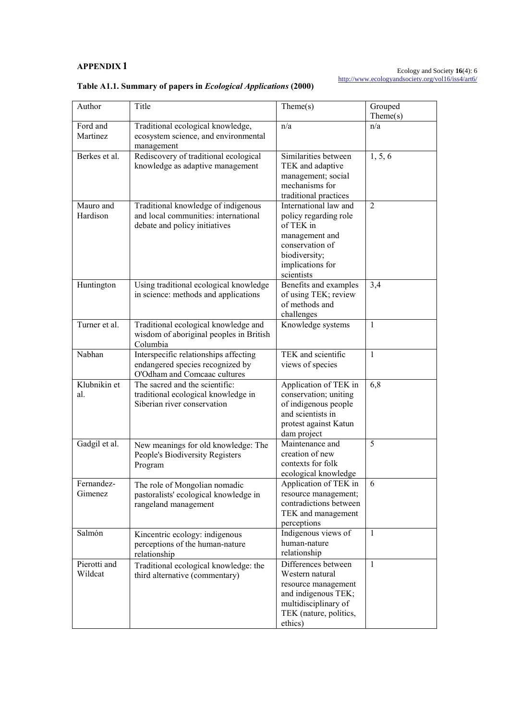### **APPENDIX 1**

#### Ecology and Society **16**(4): 6 <http://www.ecologyandsociety.org/vol16/iss4/art6/>

| Author                  | Title                                                                                                        | $\text{Theme}(s)$                                                                                                                                   | Grouped<br>Then (s) |
|-------------------------|--------------------------------------------------------------------------------------------------------------|-----------------------------------------------------------------------------------------------------------------------------------------------------|---------------------|
| Ford and<br>Martinez    | Traditional ecological knowledge,<br>ecosystem science, and environmental<br>management                      | n/a                                                                                                                                                 | n/a                 |
| Berkes et al.           | Rediscovery of traditional ecological<br>knowledge as adaptive management                                    | Similarities between<br>TEK and adaptive<br>management; social<br>mechanisms for<br>traditional practices                                           | 1, 5, 6             |
| Mauro and<br>Hardison   | Traditional knowledge of indigenous<br>and local communities: international<br>debate and policy initiatives | International law and<br>policy regarding role<br>of TEK in<br>management and<br>conservation of<br>biodiversity;<br>implications for<br>scientists | $\overline{2}$      |
| Huntington              | Using traditional ecological knowledge<br>in science: methods and applications                               | Benefits and examples<br>of using TEK; review<br>of methods and<br>challenges                                                                       | 3,4                 |
| Turner et al.           | Traditional ecological knowledge and<br>wisdom of aboriginal peoples in British<br>Columbia                  | Knowledge systems                                                                                                                                   | $\mathbf{1}$        |
| Nabhan                  | Interspecific relationships affecting<br>endangered species recognized by<br>O'Odham and Comcaac cultures    | TEK and scientific<br>views of species                                                                                                              | $\mathbf{1}$        |
| Klubnikin et<br>al.     | The sacred and the scientific:<br>traditional ecological knowledge in<br>Siberian river conservation         | Application of TEK in<br>conservation; uniting<br>of indigenous people<br>and scientists in<br>protest against Katun<br>dam project                 | 6,8                 |
| Gadgil et al.           | New meanings for old knowledge: The<br>People's Biodiversity Registers<br>Program                            | Maintenance and<br>creation of new<br>contexts for folk<br>ecological knowledge                                                                     | 5                   |
| Fernandez-<br>Gimenez   | The role of Mongolian nomadic<br>pastoralists' ecological knowledge in<br>rangeland management               | Application of TEK in<br>resource management;<br>contradictions between<br>TEK and management<br>perceptions                                        | 6                   |
| Salmón                  | Kincentric ecology: indigenous<br>perceptions of the human-nature<br>relationship                            | Indigenous views of<br>human-nature<br>relationship                                                                                                 | 1                   |
| Pierotti and<br>Wildcat | Traditional ecological knowledge: the<br>third alternative (commentary)                                      | Differences between<br>Western natural<br>resource management<br>and indigenous TEK;<br>multidisciplinary of<br>TEK (nature, politics,<br>ethics)   | $\mathbf{1}$        |

## **Table A1.1. Summary of papers in** *Ecological Applications* **(2000)**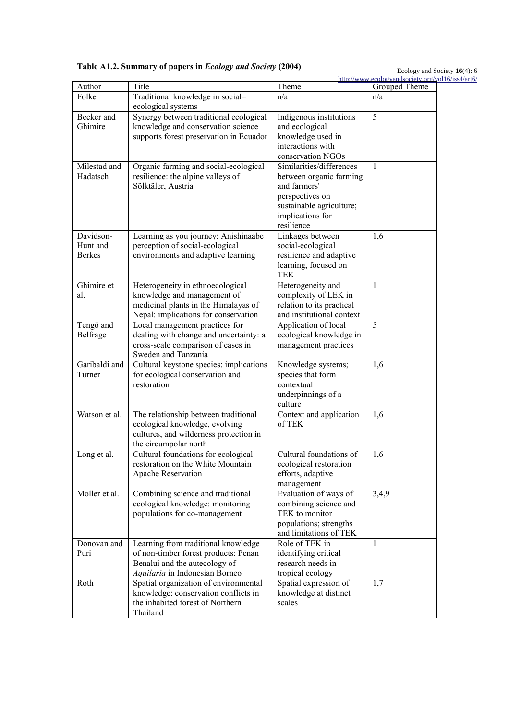**Table A1.2. Summary of papers in** *Ecology and Society* **(2004)** 

Ecology and Society **16**(4): 6

|               |                                                                               |                                                  | http://www.ecologyandsociety.org/vol16/iss4/art6/ |
|---------------|-------------------------------------------------------------------------------|--------------------------------------------------|---------------------------------------------------|
| Author        | Title                                                                         | Theme                                            | Grouped Theme                                     |
| Folke         | Traditional knowledge in social-<br>ecological systems                        | n/a                                              | n/a                                               |
| Becker and    | Synergy between traditional ecological                                        | Indigenous institutions                          | 5                                                 |
| Ghimire       | knowledge and conservation science                                            | and ecological                                   |                                                   |
|               | supports forest preservation in Ecuador                                       | knowledge used in                                |                                                   |
|               |                                                                               | interactions with                                |                                                   |
|               |                                                                               | conservation NGOs                                |                                                   |
| Milestad and  | Organic farming and social-ecological                                         | Similarities/differences                         | $\mathbf{1}$                                      |
| Hadatsch      | resilience: the alpine valleys of                                             | between organic farming                          |                                                   |
|               | Sölktäler, Austria                                                            | and farmers'                                     |                                                   |
|               |                                                                               | perspectives on                                  |                                                   |
|               |                                                                               | sustainable agriculture;                         |                                                   |
|               |                                                                               | implications for                                 |                                                   |
|               |                                                                               | resilience                                       |                                                   |
| Davidson-     | Learning as you journey: Anishinaabe                                          | Linkages between                                 | 1,6                                               |
| Hunt and      | perception of social-ecological                                               | social-ecological                                |                                                   |
| <b>Berkes</b> | environments and adaptive learning                                            | resilience and adaptive                          |                                                   |
|               |                                                                               | learning, focused on                             |                                                   |
|               |                                                                               | <b>TEK</b>                                       |                                                   |
| Ghimire et    | Heterogeneity in ethnoecological                                              | Heterogeneity and                                | $\mathbf{1}$                                      |
| al.           | knowledge and management of                                                   | complexity of LEK in                             |                                                   |
|               | medicinal plants in the Himalayas of                                          | relation to its practical                        |                                                   |
|               | Nepal: implications for conservation                                          | and institutional context                        |                                                   |
| Tengö and     | Local management practices for                                                | Application of local                             | 5                                                 |
| Belfrage      | dealing with change and uncertainty: a                                        | ecological knowledge in                          |                                                   |
|               | cross-scale comparison of cases in                                            | management practices                             |                                                   |
|               | Sweden and Tanzania                                                           |                                                  |                                                   |
| Garibaldi and | Cultural keystone species: implications                                       | Knowledge systems;                               | 1,6                                               |
| Turner        | for ecological conservation and                                               | species that form                                |                                                   |
|               | restoration                                                                   | contextual                                       |                                                   |
|               |                                                                               | underpinnings of a                               |                                                   |
|               |                                                                               | culture                                          |                                                   |
| Watson et al. | The relationship between traditional                                          | Context and application                          | 1,6                                               |
|               | ecological knowledge, evolving                                                | of TEK                                           |                                                   |
|               | cultures, and wilderness protection in                                        |                                                  |                                                   |
|               | the circumpolar north                                                         |                                                  |                                                   |
| Long et al.   | Cultural foundations for ecological                                           | Cultural foundations of                          | 1,6                                               |
|               | restoration on the White Mountain                                             | ecological restoration                           |                                                   |
|               | Apache Reservation                                                            | efforts, adaptive                                |                                                   |
| Moller et al. |                                                                               | management                                       |                                                   |
|               | Combining science and traditional<br>ecological knowledge: monitoring         | Evaluation of ways of                            | 3,4,9                                             |
|               | populations for co-management                                                 | combining science and<br>TEK to monitor          |                                                   |
|               |                                                                               |                                                  |                                                   |
|               |                                                                               | populations; strengths<br>and limitations of TEK |                                                   |
| Donovan and   |                                                                               | Role of TEK in                                   | 1                                                 |
|               | Learning from traditional knowledge                                           |                                                  |                                                   |
| Puri          | of non-timber forest products: Penan<br>Benalui and the autecology of         | identifying critical<br>research needs in        |                                                   |
|               |                                                                               |                                                  |                                                   |
| Roth          | Aquilaria in Indonesian Borneo                                                | tropical ecology<br>Spatial expression of        | 1,7                                               |
|               | Spatial organization of environmental<br>knowledge: conservation conflicts in | knowledge at distinct                            |                                                   |
|               | the inhabited forest of Northern                                              | scales                                           |                                                   |
|               | Thailand                                                                      |                                                  |                                                   |
|               |                                                                               |                                                  |                                                   |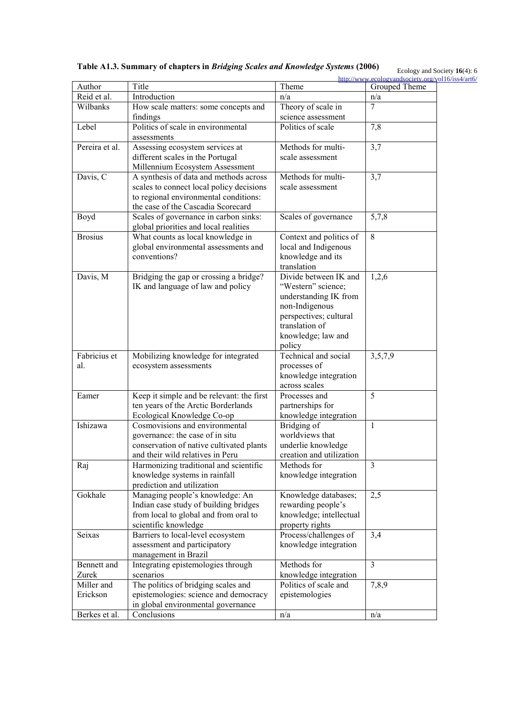**Table A1.3. Summary of chapters in** *Bridging Scales and Knowledge Systems* **(2006)** 

Ecology and Society **16**(4): 6

|                |                                                   |                          | http://www.ecologyandsociety.org/vol16/iss4/art6/ |
|----------------|---------------------------------------------------|--------------------------|---------------------------------------------------|
| Author         | Title                                             | Theme                    | Grouped Theme                                     |
| Reid et al.    | Introduction                                      | n/a                      | n/a                                               |
| Wilbanks       | How scale matters: some concepts and              | Theory of scale in       | 7                                                 |
|                | findings                                          | science assessment       |                                                   |
| Lebel          | Politics of scale in environmental<br>assessments | Politics of scale        | 7,8                                               |
| Pereira et al. | Assessing ecosystem services at                   | Methods for multi-       | 3,7                                               |
|                | different scales in the Portugal                  | scale assessment         |                                                   |
|                | Millennium Ecosystem Assessment                   |                          |                                                   |
| Davis, C       | A synthesis of data and methods across            | Methods for multi-       | 3,7                                               |
|                | scales to connect local policy decisions          | scale assessment         |                                                   |
|                | to regional environmental conditions:             |                          |                                                   |
|                | the case of the Cascadia Scorecard                |                          |                                                   |
| Boyd           | Scales of governance in carbon sinks:             | Scales of governance     | 5,7,8                                             |
|                | global priorities and local realities             |                          |                                                   |
| <b>Brosius</b> | What counts as local knowledge in                 | Context and politics of  | 8                                                 |
|                | global environmental assessments and              | local and Indigenous     |                                                   |
|                | conventions?                                      | knowledge and its        |                                                   |
|                |                                                   | translation              |                                                   |
| Davis, M       | Bridging the gap or crossing a bridge?            | Divide between IK and    | 1,2,6                                             |
|                | IK and language of law and policy                 | "Western" science;       |                                                   |
|                |                                                   | understanding IK from    |                                                   |
|                |                                                   | non-Indigenous           |                                                   |
|                |                                                   | perspectives; cultural   |                                                   |
|                |                                                   | translation of           |                                                   |
|                |                                                   | knowledge; law and       |                                                   |
|                |                                                   | policy                   |                                                   |
| Fabricius et   | Mobilizing knowledge for integrated               | Technical and social     | 3,5,7,9                                           |
| al.            | ecosystem assessments                             | processes of             |                                                   |
|                |                                                   | knowledge integration    |                                                   |
|                |                                                   | across scales            |                                                   |
| Eamer          | Keep it simple and be relevant: the first         | Processes and            | 5                                                 |
|                | ten years of the Arctic Borderlands               | partnerships for         |                                                   |
|                | Ecological Knowledge Co-op                        | knowledge integration    |                                                   |
| Ishizawa       | Cosmovisions and environmental                    | Bridging of              | $\mathbf{1}$                                      |
|                | governance: the case of in situ                   | worldviews that          |                                                   |
|                | conservation of native cultivated plants          | underlie knowledge       |                                                   |
|                | and their wild relatives in Peru                  | creation and utilization |                                                   |
| Raj            | Harmonizing traditional and scientific            | Methods for              | 3                                                 |
|                | knowledge systems in rainfall                     | knowledge integration    |                                                   |
|                | prediction and utilization                        |                          |                                                   |
| Gokhale        | Managing people's knowledge: An                   | Knowledge databases;     | 2,5                                               |
|                | Indian case study of building bridges             | rewarding people's       |                                                   |
|                | from local to global and from oral to             | knowledge; intellectual  |                                                   |
|                | scientific knowledge                              | property rights          |                                                   |
| Seixas         | Barriers to local-level ecosystem                 | Process/challenges of    | 3,4                                               |
|                | assessment and participatory                      | knowledge integration    |                                                   |
|                | management in Brazil                              |                          |                                                   |
| Bennett and    | Integrating epistemologies through                | Methods for              | $\overline{3}$                                    |
| Zurek          | scenarios                                         | knowledge integration    |                                                   |
| Miller and     | The politics of bridging scales and               | Politics of scale and    | 7,8,9                                             |
| Erickson       | epistemologies: science and democracy             | epistemologies           |                                                   |
|                | in global environmental governance                |                          |                                                   |
|                |                                                   |                          |                                                   |
| Berkes et al.  | Conclusions                                       | n/a                      | n/a                                               |